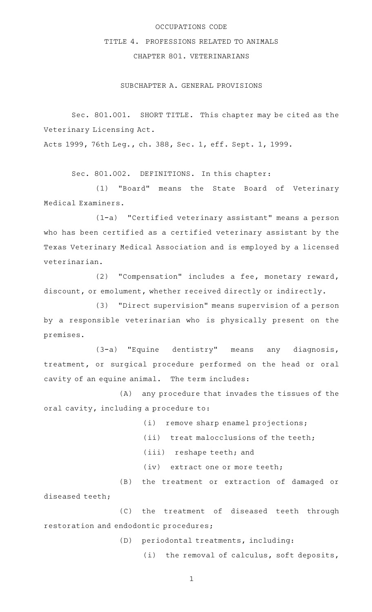# OCCUPATIONS CODE

# TITLE 4. PROFESSIONS RELATED TO ANIMALS

# CHAPTER 801. VETERINARIANS

SUBCHAPTER A. GENERAL PROVISIONS

Sec. 801.001. SHORT TITLE. This chapter may be cited as the Veterinary Licensing Act.

Acts 1999, 76th Leg., ch. 388, Sec. 1, eff. Sept. 1, 1999.

Sec. 801.002. DEFINITIONS. In this chapter:

(1) "Board" means the State Board of Veterinary Medical Examiners.

(1-a) "Certified veterinary assistant" means a person who has been certified as a certified veterinary assistant by the Texas Veterinary Medical Association and is employed by a licensed veterinarian.

(2) "Compensation" includes a fee, monetary reward, discount, or emolument, whether received directly or indirectly.

(3) "Direct supervision" means supervision of a person by a responsible veterinarian who is physically present on the premises.

(3-a) "Equine dentistry" means any diagnosis, treatment, or surgical procedure performed on the head or oral cavity of an equine animal. The term includes:

(A) any procedure that invades the tissues of the oral cavity, including a procedure to:

(i) remove sharp enamel projections;

- $(iii)$  treat malocclusions of the teeth;
- (iii) reshape teeth; and
- (iv) extract one or more teeth;

(B) the treatment or extraction of damaged or diseased teeth;

(C) the treatment of diseased teeth through restoration and endodontic procedures;

(D) periodontal treatments, including:

(i) the removal of calculus, soft deposits,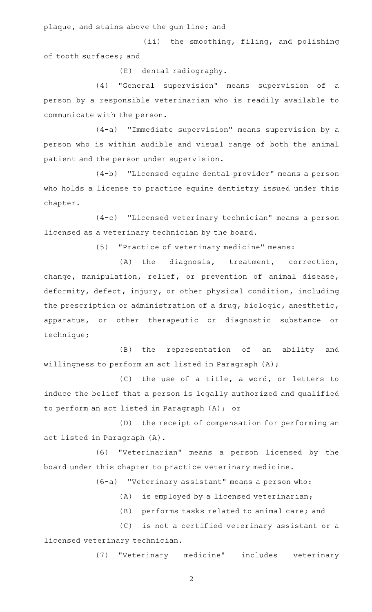plaque, and stains above the gum line; and

(ii) the smoothing, filing, and polishing of tooth surfaces; and

(E) dental radiography.

(4) "General supervision" means supervision of a person by a responsible veterinarian who is readily available to communicate with the person.

(4-a) "Immediate supervision" means supervision by a person who is within audible and visual range of both the animal patient and the person under supervision.

(4-b) "Licensed equine dental provider" means a person who holds a license to practice equine dentistry issued under this chapter.

(4-c) "Licensed veterinary technician" means a person licensed as a veterinary technician by the board.

(5) "Practice of veterinary medicine" means:

 $(A)$  the diagnosis, treatment, correction, change, manipulation, relief, or prevention of animal disease, deformity, defect, injury, or other physical condition, including the prescription or administration of a drug, biologic, anesthetic, apparatus, or other therapeutic or diagnostic substance or technique;

(B) the representation of an ability and willingness to perform an act listed in Paragraph (A);

 $(C)$  the use of a title, a word, or letters to induce the belief that a person is legally authorized and qualified to perform an act listed in Paragraph (A); or

(D) the receipt of compensation for performing an act listed in Paragraph (A).

(6) "Veterinarian" means a person licensed by the board under this chapter to practice veterinary medicine.

 $(6-a)$  "Veterinary assistant" means a person who:

 $(A)$  is employed by a licensed veterinarian;

(B) performs tasks related to animal care; and

(C) is not a certified veterinary assistant or a licensed veterinary technician.

(7) "Veterinary medicine" includes veterinary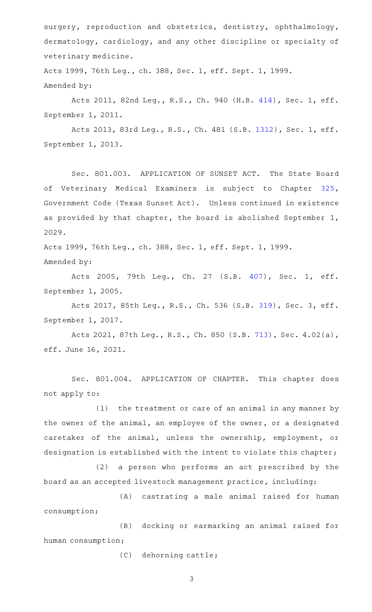surgery, reproduction and obstetrics, dentistry, ophthalmology, dermatology, cardiology, and any other discipline or specialty of veterinary medicine.

Acts 1999, 76th Leg., ch. 388, Sec. 1, eff. Sept. 1, 1999. Amended by:

Acts 2011, 82nd Leg., R.S., Ch. 940 (H.B. [414](http://www.legis.state.tx.us/tlodocs/82R/billtext/html/HB00414F.HTM)), Sec. 1, eff. September 1, 2011.

Acts 2013, 83rd Leg., R.S., Ch. 481 (S.B. [1312](http://www.legis.state.tx.us/tlodocs/83R/billtext/html/SB01312F.HTM)), Sec. 1, eff. September 1, 2013.

Sec. 801.003. APPLICATION OF SUNSET ACT. The State Board of Veterinary Medical Examiners is subject to Chapter [325](http://www.statutes.legis.state.tx.us/GetStatute.aspx?Code=GV&Value=325), Government Code (Texas Sunset Act). Unless continued in existence as provided by that chapter, the board is abolished September 1, 2029.

Acts 1999, 76th Leg., ch. 388, Sec. 1, eff. Sept. 1, 1999. Amended by:

Acts 2005, 79th Leg., Ch. 27 (S.B. [407\)](http://www.legis.state.tx.us/tlodocs/79R/billtext/html/SB00407F.HTM), Sec. 1, eff. September 1, 2005.

Acts 2017, 85th Leg., R.S., Ch. 536 (S.B. [319](http://www.legis.state.tx.us/tlodocs/85R/billtext/html/SB00319F.HTM)), Sec. 3, eff. September 1, 2017.

Acts 2021, 87th Leg., R.S., Ch. 850 (S.B. [713](http://www.legis.state.tx.us/tlodocs/87R/billtext/html/SB00713F.HTM)), Sec. 4.02(a), eff. June 16, 2021.

Sec. 801.004. APPLICATION OF CHAPTER. This chapter does not apply to:

 $(1)$  the treatment or care of an animal in any manner by the owner of the animal, an employee of the owner, or a designated caretaker of the animal, unless the ownership, employment, or designation is established with the intent to violate this chapter;

(2) a person who performs an act prescribed by the board as an accepted livestock management practice, including:

(A) castrating a male animal raised for human consumption;

(B) docking or earmarking an animal raised for human consumption;

(C) dehorning cattle;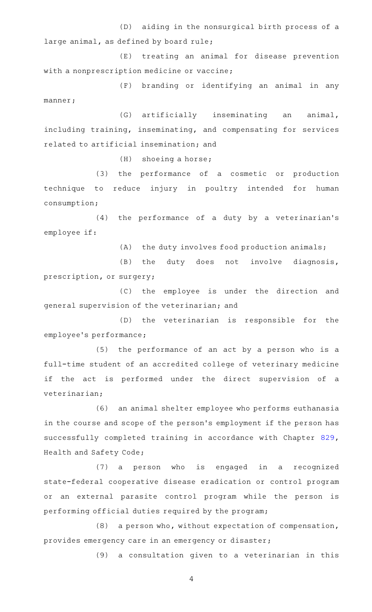(D) aiding in the nonsurgical birth process of a large animal, as defined by board rule;

(E) treating an animal for disease prevention with a nonprescription medicine or vaccine;

(F) branding or identifying an animal in any manner;

(G) artificially inseminating an animal, including training, inseminating, and compensating for services related to artificial insemination; and

 $(H)$  shoeing a horse;

(3) the performance of a cosmetic or production technique to reduce injury in poultry intended for human consumption;

(4) the performance of a duty by a veterinarian's employee if:

 $(A)$  the duty involves food production animals;

(B) the duty does not involve diagnosis, prescription, or surgery;

(C) the employee is under the direction and general supervision of the veterinarian; and

(D) the veterinarian is responsible for the employee 's performance;

(5) the performance of an act by a person who is a full-time student of an accredited college of veterinary medicine if the act is performed under the direct supervision of a veterinarian;

(6) an animal shelter employee who performs euthanasia in the course and scope of the person 's employment if the person has successfully completed training in accordance with Chapter [829](http://www.statutes.legis.state.tx.us/GetStatute.aspx?Code=HS&Value=829), Health and Safety Code;

(7) a person who is engaged in a recognized state-federal cooperative disease eradication or control program or an external parasite control program while the person is performing official duties required by the program;

 $(8)$  a person who, without expectation of compensation, provides emergency care in an emergency or disaster;

(9) a consultation given to a veterinarian in this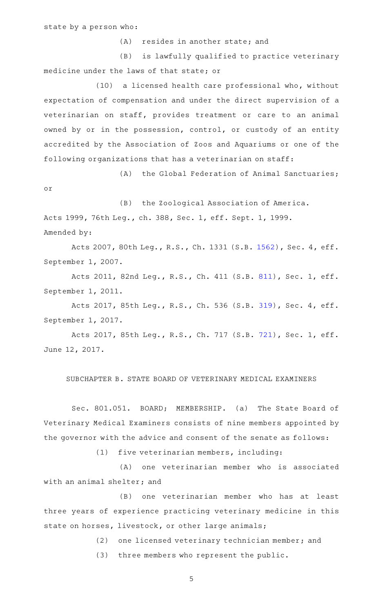(A) resides in another state; and

(B) is lawfully qualified to practice veterinary medicine under the laws of that state; or

(10) a licensed health care professional who, without expectation of compensation and under the direct supervision of a veterinarian on staff, provides treatment or care to an animal owned by or in the possession, control, or custody of an entity accredited by the Association of Zoos and Aquariums or one of the following organizations that has a veterinarian on staff:

(A) the Global Federation of Animal Sanctuaries;

or

(B) the Zoological Association of America. Acts 1999, 76th Leg., ch. 388, Sec. 1, eff. Sept. 1, 1999. Amended by:

Acts 2007, 80th Leg., R.S., Ch. 1331 (S.B. [1562](http://www.legis.state.tx.us/tlodocs/80R/billtext/html/SB01562F.HTM)), Sec. 4, eff. September 1, 2007.

Acts 2011, 82nd Leg., R.S., Ch. 411 (S.B. [811](http://www.legis.state.tx.us/tlodocs/82R/billtext/html/SB00811F.HTM)), Sec. 1, eff. September 1, 2011.

Acts 2017, 85th Leg., R.S., Ch. 536 (S.B. [319](http://www.legis.state.tx.us/tlodocs/85R/billtext/html/SB00319F.HTM)), Sec. 4, eff. September 1, 2017.

Acts 2017, 85th Leg., R.S., Ch. 717 (S.B. [721](http://www.legis.state.tx.us/tlodocs/85R/billtext/html/SB00721F.HTM)), Sec. 1, eff. June 12, 2017.

#### SUBCHAPTER B. STATE BOARD OF VETERINARY MEDICAL EXAMINERS

Sec. 801.051. BOARD; MEMBERSHIP. (a) The State Board of Veterinary Medical Examiners consists of nine members appointed by the governor with the advice and consent of the senate as follows:

(1) five veterinarian members, including:

(A) one veterinarian member who is associated with an animal shelter; and

(B) one veterinarian member who has at least three years of experience practicing veterinary medicine in this state on horses, livestock, or other large animals;

(2) one licensed veterinary technician member; and

(3) three members who represent the public.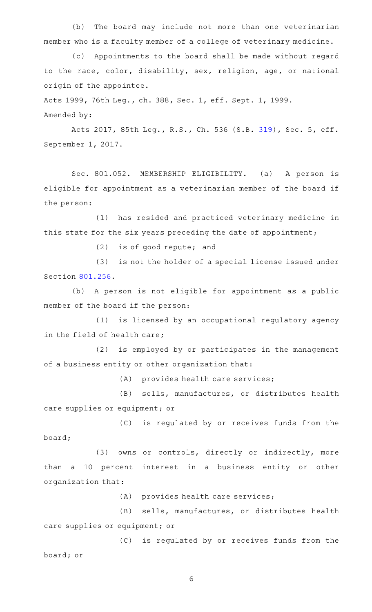(b) The board may include not more than one veterinarian member who is a faculty member of a college of veterinary medicine.

(c) Appointments to the board shall be made without regard to the race, color, disability, sex, religion, age, or national origin of the appointee.

Acts 1999, 76th Leg., ch. 388, Sec. 1, eff. Sept. 1, 1999.

Amended by:

Acts 2017, 85th Leg., R.S., Ch. 536 (S.B. [319](http://www.legis.state.tx.us/tlodocs/85R/billtext/html/SB00319F.HTM)), Sec. 5, eff. September 1, 2017.

Sec. 801.052. MEMBERSHIP ELIGIBILITY. (a) A person is eligible for appointment as a veterinarian member of the board if the person:

(1) has resided and practiced veterinary medicine in this state for the six years preceding the date of appointment;

 $(2)$  is of good repute; and

(3) is not the holder of a special license issued under Section [801.256.](http://www.statutes.legis.state.tx.us/GetStatute.aspx?Code=OC&Value=801.256)

(b) A person is not eligible for appointment as a public member of the board if the person:

(1) is licensed by an occupational regulatory agency in the field of health care;

(2) is employed by or participates in the management of a business entity or other organization that:

(A) provides health care services;

(B) sells, manufactures, or distributes health care supplies or equipment; or

(C) is regulated by or receives funds from the board;

(3) owns or controls, directly or indirectly, more than a 10 percent interest in a business entity or other organization that:

(A) provides health care services;

(B) sells, manufactures, or distributes health care supplies or equipment; or

(C) is regulated by or receives funds from the board; or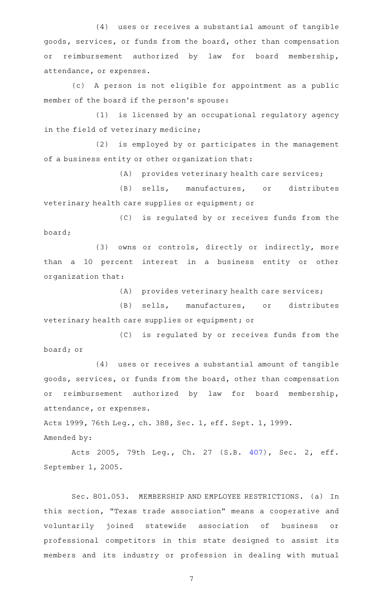(4) uses or receives a substantial amount of tangible goods, services, or funds from the board, other than compensation or reimbursement authorized by law for board membership, attendance, or expenses.

(c)AAA person is not eligible for appointment as a public member of the board if the person 's spouse:

(1) is licensed by an occupational regulatory agency in the field of veterinary medicine;

(2) is employed by or participates in the management of a business entity or other organization that:

 $(A)$  provides veterinary health care services;

(B) sells, manufactures, or distributes veterinary health care supplies or equipment; or

(C) is regulated by or receives funds from the board;

(3) owns or controls, directly or indirectly, more than a 10 percent interest in a business entity or other organization that:

 $(A)$  provides veterinary health care services;

(B) sells, manufactures, or distributes veterinary health care supplies or equipment; or

(C) is regulated by or receives funds from the board; or

(4) uses or receives a substantial amount of tangible goods, services, or funds from the board, other than compensation or reimbursement authorized by law for board membership, attendance, or expenses.

Acts 1999, 76th Leg., ch. 388, Sec. 1, eff. Sept. 1, 1999. Amended by:

Acts 2005, 79th Leg., Ch. 27 (S.B. [407\)](http://www.legis.state.tx.us/tlodocs/79R/billtext/html/SB00407F.HTM), Sec. 2, eff. September 1, 2005.

Sec. 801.053. MEMBERSHIP AND EMPLOYEE RESTRICTIONS. (a) In this section, "Texas trade association" means a cooperative and voluntarily joined statewide association of business or professional competitors in this state designed to assist its members and its industry or profession in dealing with mutual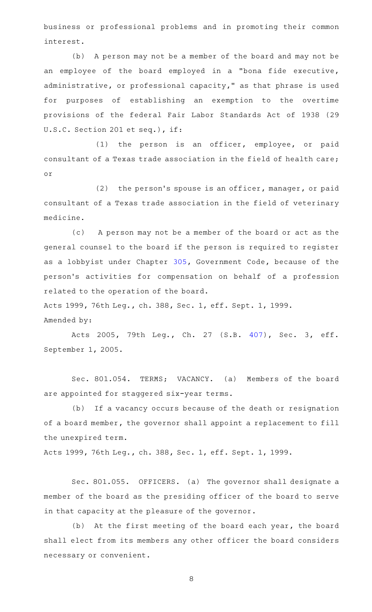business or professional problems and in promoting their common interest.

(b) A person may not be a member of the board and may not be an employee of the board employed in a "bona fide executive, administrative, or professional capacity," as that phrase is used for purposes of establishing an exemption to the overtime provisions of the federal Fair Labor Standards Act of 1938 (29 U.S.C. Section 201 et seq.), if:

 $(1)$  the person is an officer, employee, or paid consultant of a Texas trade association in the field of health care; or

 $(2)$  the person's spouse is an officer, manager, or paid consultant of a Texas trade association in the field of veterinary medicine.

(c) A person may not be a member of the board or act as the general counsel to the board if the person is required to register as a lobbyist under Chapter [305](http://www.statutes.legis.state.tx.us/GetStatute.aspx?Code=GV&Value=305), Government Code, because of the person 's activities for compensation on behalf of a profession related to the operation of the board.

Acts 1999, 76th Leg., ch. 388, Sec. 1, eff. Sept. 1, 1999.

Amended by:

Acts 2005, 79th Leg., Ch. 27 (S.B. [407\)](http://www.legis.state.tx.us/tlodocs/79R/billtext/html/SB00407F.HTM), Sec. 3, eff. September 1, 2005.

Sec. 801.054. TERMS; VACANCY. (a) Members of the board are appointed for staggered six-year terms.

(b) If a vacancy occurs because of the death or resignation of a board member, the governor shall appoint a replacement to fill the unexpired term.

Acts 1999, 76th Leg., ch. 388, Sec. 1, eff. Sept. 1, 1999.

Sec. 801.055. OFFICERS. (a) The governor shall designate a member of the board as the presiding officer of the board to serve in that capacity at the pleasure of the governor.

(b) At the first meeting of the board each year, the board shall elect from its members any other officer the board considers necessary or convenient.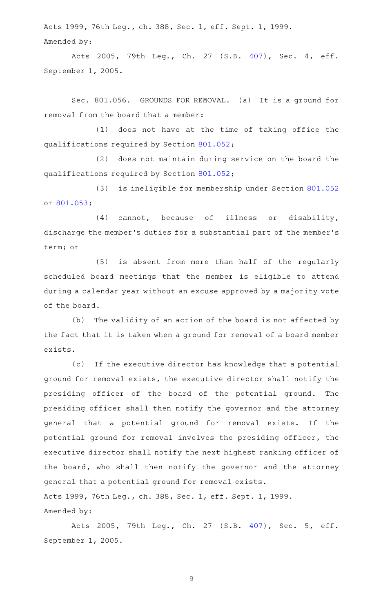Acts 1999, 76th Leg., ch. 388, Sec. 1, eff. Sept. 1, 1999. Amended by:

Acts 2005, 79th Leg., Ch. 27 (S.B. [407\)](http://www.legis.state.tx.us/tlodocs/79R/billtext/html/SB00407F.HTM), Sec. 4, eff. September 1, 2005.

Sec. 801.056. GROUNDS FOR REMOVAL. (a) It is a ground for removal from the board that a member:

(1) does not have at the time of taking office the qualifications required by Section [801.052;](http://www.statutes.legis.state.tx.us/GetStatute.aspx?Code=OC&Value=801.052)

(2) does not maintain during service on the board the qualifications required by Section [801.052;](http://www.statutes.legis.state.tx.us/GetStatute.aspx?Code=OC&Value=801.052)

(3) is ineligible for membership under Section [801.052](http://www.statutes.legis.state.tx.us/GetStatute.aspx?Code=OC&Value=801.052) or [801.053;](http://www.statutes.legis.state.tx.us/GetStatute.aspx?Code=OC&Value=801.053)

 $(4)$  cannot, because of illness or disability, discharge the member 's duties for a substantial part of the member 's term; or

(5) is absent from more than half of the regularly scheduled board meetings that the member is eligible to attend during a calendar year without an excuse approved by a majority vote of the board.

(b) The validity of an action of the board is not affected by the fact that it is taken when a ground for removal of a board member exists.

(c) If the executive director has knowledge that a potential ground for removal exists, the executive director shall notify the presiding officer of the board of the potential ground. The presiding officer shall then notify the governor and the attorney general that a potential ground for removal exists. If the potential ground for removal involves the presiding officer, the executive director shall notify the next highest ranking officer of the board, who shall then notify the governor and the attorney general that a potential ground for removal exists. Acts 1999, 76th Leg., ch. 388, Sec. 1, eff. Sept. 1, 1999. Amended by:

Acts 2005, 79th Leg., Ch. 27 (S.B. [407\)](http://www.legis.state.tx.us/tlodocs/79R/billtext/html/SB00407F.HTM), Sec. 5, eff. September 1, 2005.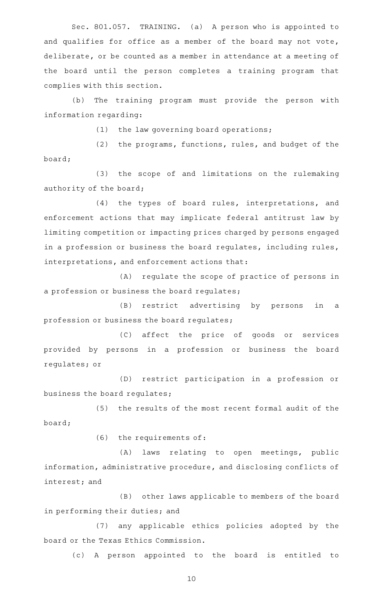Sec. 801.057. TRAINING. (a) A person who is appointed to and qualifies for office as a member of the board may not vote, deliberate, or be counted as a member in attendance at a meeting of the board until the person completes a training program that complies with this section.

(b) The training program must provide the person with information regarding:

 $(1)$  the law governing board operations;

 $(2)$  the programs, functions, rules, and budget of the board;

(3) the scope of and limitations on the rulemaking authority of the board;

(4) the types of board rules, interpretations, and enforcement actions that may implicate federal antitrust law by limiting competition or impacting prices charged by persons engaged in a profession or business the board regulates, including rules, interpretations, and enforcement actions that:

(A) regulate the scope of practice of persons in a profession or business the board regulates;

(B) restrict advertising by persons in a profession or business the board regulates;

(C) affect the price of goods or services provided by persons in a profession or business the board regulates; or

(D) restrict participation in a profession or business the board regulates;

(5) the results of the most recent formal audit of the board;

 $(6)$  the requirements of:

(A) laws relating to open meetings, public information, administrative procedure, and disclosing conflicts of interest; and

(B) other laws applicable to members of the board in performing their duties; and

(7) any applicable ethics policies adopted by the board or the Texas Ethics Commission.

(c)AAA person appointed to the board is entitled to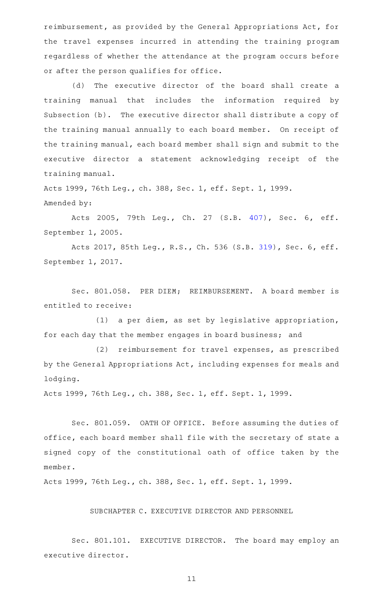reimbursement, as provided by the General Appropriations Act, for the travel expenses incurred in attending the training program regardless of whether the attendance at the program occurs before or after the person qualifies for office.

(d) The executive director of the board shall create a training manual that includes the information required by Subsection (b). The executive director shall distribute a copy of the training manual annually to each board member. On receipt of the training manual, each board member shall sign and submit to the executive director a statement acknowledging receipt of the training manual.

Acts 1999, 76th Leg., ch. 388, Sec. 1, eff. Sept. 1, 1999. Amended by:

Acts 2005, 79th Leg., Ch. 27 (S.B. [407\)](http://www.legis.state.tx.us/tlodocs/79R/billtext/html/SB00407F.HTM), Sec. 6, eff. September 1, 2005.

Acts 2017, 85th Leg., R.S., Ch. 536 (S.B. [319](http://www.legis.state.tx.us/tlodocs/85R/billtext/html/SB00319F.HTM)), Sec. 6, eff. September 1, 2017.

Sec. 801.058. PER DIEM; REIMBURSEMENT. A board member is entitled to receive:

(1) a per diem, as set by legislative appropriation, for each day that the member engages in board business; and

(2) reimbursement for travel expenses, as prescribed by the General Appropriations Act, including expenses for meals and lodging.

Acts 1999, 76th Leg., ch. 388, Sec. 1, eff. Sept. 1, 1999.

Sec. 801.059. OATH OF OFFICE. Before assuming the duties of office, each board member shall file with the secretary of state a signed copy of the constitutional oath of office taken by the member.

Acts 1999, 76th Leg., ch. 388, Sec. 1, eff. Sept. 1, 1999.

# SUBCHAPTER C. EXECUTIVE DIRECTOR AND PERSONNEL

Sec. 801.101. EXECUTIVE DIRECTOR. The board may employ an executive director.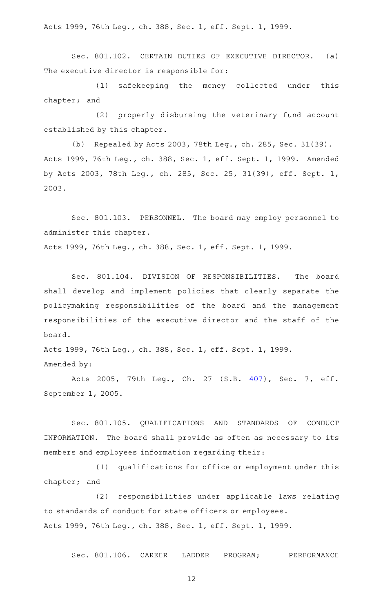Acts 1999, 76th Leg., ch. 388, Sec. 1, eff. Sept. 1, 1999.

Sec. 801.102. CERTAIN DUTIES OF EXECUTIVE DIRECTOR. (a) The executive director is responsible for:

(1) safekeeping the money collected under this chapter; and

(2) properly disbursing the veterinary fund account established by this chapter.

(b) Repealed by Acts 2003, 78th Leg., ch. 285, Sec. 31(39). Acts 1999, 76th Leg., ch. 388, Sec. 1, eff. Sept. 1, 1999. Amended by Acts 2003, 78th Leg., ch. 285, Sec. 25, 31(39), eff. Sept. 1, 2003.

Sec. 801.103. PERSONNEL. The board may employ personnel to administer this chapter.

Acts 1999, 76th Leg., ch. 388, Sec. 1, eff. Sept. 1, 1999.

Sec. 801.104. DIVISION OF RESPONSIBILITIES. The board shall develop and implement policies that clearly separate the policymaking responsibilities of the board and the management responsibilities of the executive director and the staff of the board.

Acts 1999, 76th Leg., ch. 388, Sec. 1, eff. Sept. 1, 1999. Amended by:

Acts 2005, 79th Leg., Ch. 27 (S.B. [407\)](http://www.legis.state.tx.us/tlodocs/79R/billtext/html/SB00407F.HTM), Sec. 7, eff. September 1, 2005.

Sec. 801.105. QUALIFICATIONS AND STANDARDS OF CONDUCT INFORMATION. The board shall provide as often as necessary to its members and employees information regarding their:

(1) qualifications for office or employment under this chapter; and

(2) responsibilities under applicable laws relating to standards of conduct for state officers or employees. Acts 1999, 76th Leg., ch. 388, Sec. 1, eff. Sept. 1, 1999.

Sec. 801.106. CAREER LADDER PROGRAM; PERFORMANCE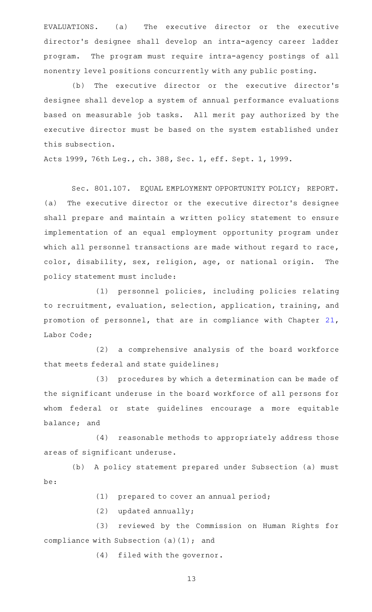EVALUATIONS. (a) The executive director or the executive director 's designee shall develop an intra-agency career ladder program. The program must require intra-agency postings of all nonentry level positions concurrently with any public posting.

(b) The executive director or the executive director's designee shall develop a system of annual performance evaluations based on measurable job tasks. All merit pay authorized by the executive director must be based on the system established under this subsection.

Acts 1999, 76th Leg., ch. 388, Sec. 1, eff. Sept. 1, 1999.

Sec. 801.107. EQUAL EMPLOYMENT OPPORTUNITY POLICY; REPORT. (a) The executive director or the executive director 's designee shall prepare and maintain a written policy statement to ensure implementation of an equal employment opportunity program under which all personnel transactions are made without regard to race, color, disability, sex, religion, age, or national origin. The policy statement must include:

(1) personnel policies, including policies relating to recruitment, evaluation, selection, application, training, and promotion of personnel, that are in compliance with Chapter [21](http://www.statutes.legis.state.tx.us/GetStatute.aspx?Code=LA&Value=21), Labor Code;

(2) a comprehensive analysis of the board workforce that meets federal and state guidelines;

(3) procedures by which a determination can be made of the significant underuse in the board workforce of all persons for whom federal or state guidelines encourage a more equitable balance; and

(4) reasonable methods to appropriately address those areas of significant underuse.

(b) A policy statement prepared under Subsection (a) must be:

 $(1)$  prepared to cover an annual period;

 $(2)$  updated annually;

(3) reviewed by the Commission on Human Rights for compliance with Subsection (a)(1); and

(4) filed with the governor.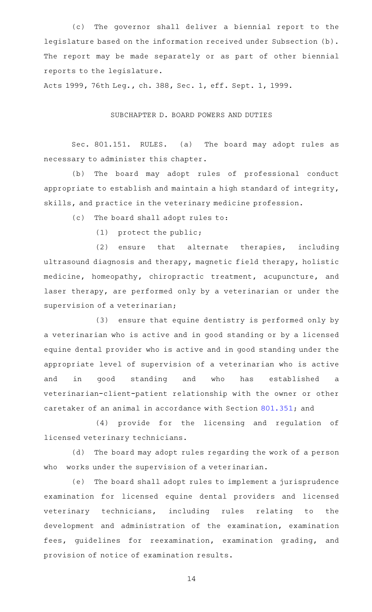(c) The governor shall deliver a biennial report to the legislature based on the information received under Subsection (b). The report may be made separately or as part of other biennial reports to the legislature.

Acts 1999, 76th Leg., ch. 388, Sec. 1, eff. Sept. 1, 1999.

# SUBCHAPTER D. BOARD POWERS AND DUTIES

Sec. 801.151. RULES. (a) The board may adopt rules as necessary to administer this chapter.

(b) The board may adopt rules of professional conduct appropriate to establish and maintain a high standard of integrity, skills, and practice in the veterinary medicine profession.

(c) The board shall adopt rules to:

 $(1)$  protect the public;

 $(2)$  ensure that alternate therapies, including ultrasound diagnosis and therapy, magnetic field therapy, holistic medicine, homeopathy, chiropractic treatment, acupuncture, and laser therapy, are performed only by a veterinarian or under the supervision of a veterinarian;

(3) ensure that equine dentistry is performed only by a veterinarian who is active and in good standing or by a licensed equine dental provider who is active and in good standing under the appropriate level of supervision of a veterinarian who is active and in good standing and who has established a veterinarian-client-patient relationship with the owner or other caretaker of an animal in accordance with Section [801.351](http://www.statutes.legis.state.tx.us/GetStatute.aspx?Code=OC&Value=801.351); and

(4) provide for the licensing and regulation of licensed veterinary technicians.

(d) The board may adopt rules regarding the work of a person who works under the supervision of a veterinarian.

(e) The board shall adopt rules to implement a jurisprudence examination for licensed equine dental providers and licensed veterinary technicians, including rules relating to the development and administration of the examination, examination fees, guidelines for reexamination, examination grading, and provision of notice of examination results.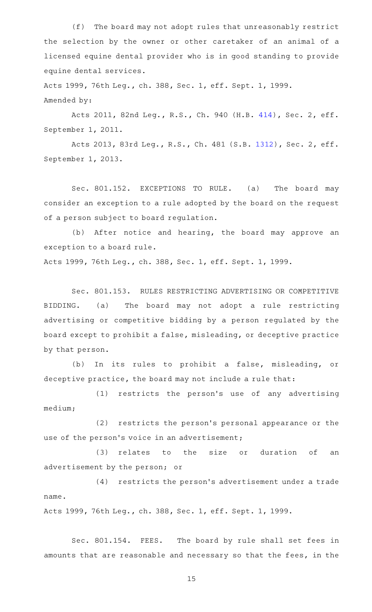(f) The board may not adopt rules that unreasonably restrict the selection by the owner or other caretaker of an animal of a licensed equine dental provider who is in good standing to provide equine dental services.

Acts 1999, 76th Leg., ch. 388, Sec. 1, eff. Sept. 1, 1999. Amended by:

Acts 2011, 82nd Leg., R.S., Ch. 940 (H.B. [414](http://www.legis.state.tx.us/tlodocs/82R/billtext/html/HB00414F.HTM)), Sec. 2, eff. September 1, 2011.

Acts 2013, 83rd Leg., R.S., Ch. 481 (S.B. [1312](http://www.legis.state.tx.us/tlodocs/83R/billtext/html/SB01312F.HTM)), Sec. 2, eff. September 1, 2013.

Sec. 801.152. EXCEPTIONS TO RULE. (a) The board may consider an exception to a rule adopted by the board on the request of a person subject to board regulation.

(b) After notice and hearing, the board may approve an exception to a board rule.

Acts 1999, 76th Leg., ch. 388, Sec. 1, eff. Sept. 1, 1999.

Sec. 801.153. RULES RESTRICTING ADVERTISING OR COMPETITIVE BIDDING. (a) The board may not adopt a rule restricting advertising or competitive bidding by a person regulated by the board except to prohibit a false, misleading, or deceptive practice by that person.

(b) In its rules to prohibit a false, misleading, or deceptive practice, the board may not include a rule that:

(1) restricts the person's use of any advertising medium;

(2) restricts the person's personal appearance or the use of the person's voice in an advertisement;

(3) relates to the size or duration of an advertisement by the person; or

(4) restricts the person's advertisement under a trade name.

Acts 1999, 76th Leg., ch. 388, Sec. 1, eff. Sept. 1, 1999.

Sec. 801.154. FEES. The board by rule shall set fees in amounts that are reasonable and necessary so that the fees, in the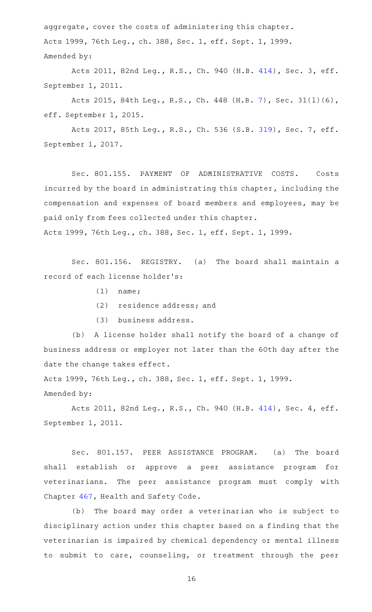aggregate, cover the costs of administering this chapter. Acts 1999, 76th Leg., ch. 388, Sec. 1, eff. Sept. 1, 1999. Amended by:

Acts 2011, 82nd Leg., R.S., Ch. 940 (H.B. [414](http://www.legis.state.tx.us/tlodocs/82R/billtext/html/HB00414F.HTM)), Sec. 3, eff. September 1, 2011.

Acts 2015, 84th Leg., R.S., Ch. 448 (H.B. [7](http://www.legis.state.tx.us/tlodocs/84R/billtext/html/HB00007F.HTM)), Sec. 31(l)(6), eff. September 1, 2015.

Acts 2017, 85th Leg., R.S., Ch. 536 (S.B. [319](http://www.legis.state.tx.us/tlodocs/85R/billtext/html/SB00319F.HTM)), Sec. 7, eff. September 1, 2017.

Sec. 801.155. PAYMENT OF ADMINISTRATIVE COSTS. Costs incurred by the board in administrating this chapter, including the compensation and expenses of board members and employees, may be paid only from fees collected under this chapter. Acts 1999, 76th Leg., ch. 388, Sec. 1, eff. Sept. 1, 1999.

Sec. 801.156. REGISTRY. (a) The board shall maintain a record of each license holder 's:

- $(1)$  name;
- (2) residence address; and
- (3) business address.

(b) A license holder shall notify the board of a change of business address or employer not later than the 60th day after the date the change takes effect.

Acts 1999, 76th Leg., ch. 388, Sec. 1, eff. Sept. 1, 1999. Amended by:

Acts 2011, 82nd Leg., R.S., Ch. 940 (H.B. [414](http://www.legis.state.tx.us/tlodocs/82R/billtext/html/HB00414F.HTM)), Sec. 4, eff. September 1, 2011.

Sec. 801.157. PEER ASSISTANCE PROGRAM. (a) The board shall establish or approve a peer assistance program for veterinarians. The peer assistance program must comply with Chapter [467,](http://www.statutes.legis.state.tx.us/GetStatute.aspx?Code=HS&Value=467) Health and Safety Code.

(b) The board may order a veterinarian who is subject to disciplinary action under this chapter based on a finding that the veterinarian is impaired by chemical dependency or mental illness to submit to care, counseling, or treatment through the peer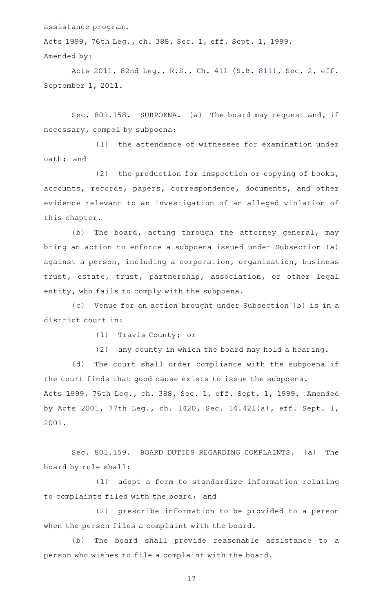assistance program.

Acts 1999, 76th Leg., ch. 388, Sec. 1, eff. Sept. 1, 1999. Amended by:

Acts 2011, 82nd Leg., R.S., Ch. 411 (S.B. [811](http://www.legis.state.tx.us/tlodocs/82R/billtext/html/SB00811F.HTM)), Sec. 2, eff. September 1, 2011.

Sec. 801.158. SUBPOENA. (a) The board may request and, if necessary, compel by subpoena:

(1) the attendance of witnesses for examination under oath; and

(2) the production for inspection or copying of books, accounts, records, papers, correspondence, documents, and other evidence relevant to an investigation of an alleged violation of this chapter.

(b) The board, acting through the attorney general, may bring an action to enforce a subpoena issued under Subsection (a) against a person, including a corporation, organization, business trust, estate, trust, partnership, association, or other legal entity, who fails to comply with the subpoena.

(c) Venue for an action brought under Subsection (b) is in a district court in:

(1) Travis County; or

(2) any county in which the board may hold a hearing.

(d) The court shall order compliance with the subpoena if the court finds that good cause exists to issue the subpoena.

Acts 1999, 76th Leg., ch. 388, Sec. 1, eff. Sept. 1, 1999. Amended by Acts 2001, 77th Leg., ch. 1420, Sec. 14.421(a), eff. Sept. 1, 2001.

Sec. 801.159. BOARD DUTIES REGARDING COMPLAINTS. (a) The board by rule shall:

(1) adopt a form to standardize information relating to complaints filed with the board; and

(2) prescribe information to be provided to a person when the person files a complaint with the board.

(b) The board shall provide reasonable assistance to a person who wishes to file a complaint with the board.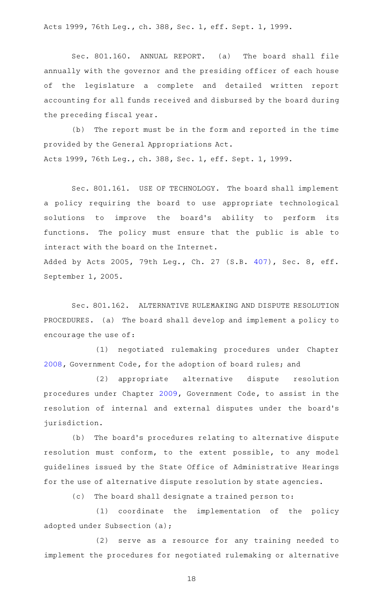Acts 1999, 76th Leg., ch. 388, Sec. 1, eff. Sept. 1, 1999.

Sec. 801.160. ANNUAL REPORT. (a) The board shall file annually with the governor and the presiding officer of each house of the legislature a complete and detailed written report accounting for all funds received and disbursed by the board during the preceding fiscal year.

(b) The report must be in the form and reported in the time provided by the General Appropriations Act. Acts 1999, 76th Leg., ch. 388, Sec. 1, eff. Sept. 1, 1999.

Sec. 801.161. USE OF TECHNOLOGY. The board shall implement a policy requiring the board to use appropriate technological solutions to improve the board's ability to perform its functions. The policy must ensure that the public is able to interact with the board on the Internet.

Added by Acts 2005, 79th Leg., Ch. 27 (S.B. [407](http://www.legis.state.tx.us/tlodocs/79R/billtext/html/SB00407F.HTM)), Sec. 8, eff. September 1, 2005.

Sec. 801.162. ALTERNATIVE RULEMAKING AND DISPUTE RESOLUTION PROCEDURES. (a) The board shall develop and implement a policy to encourage the use of:

(1) negotiated rulemaking procedures under Chapter [2008](http://www.statutes.legis.state.tx.us/GetStatute.aspx?Code=GV&Value=2008), Government Code, for the adoption of board rules; and

(2) appropriate alternative dispute resolution procedures under Chapter [2009,](http://www.statutes.legis.state.tx.us/GetStatute.aspx?Code=GV&Value=2009) Government Code, to assist in the resolution of internal and external disputes under the board's jurisdiction.

(b) The board's procedures relating to alternative dispute resolution must conform, to the extent possible, to any model guidelines issued by the State Office of Administrative Hearings for the use of alternative dispute resolution by state agencies.

(c) The board shall designate a trained person to:

(1) coordinate the implementation of the policy adopted under Subsection (a);

(2) serve as a resource for any training needed to implement the procedures for negotiated rulemaking or alternative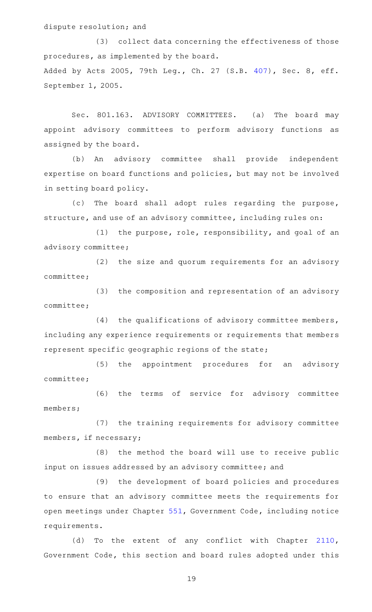# dispute resolution; and

(3) collect data concerning the effectiveness of those procedures, as implemented by the board. Added by Acts 2005, 79th Leg., Ch. 27 (S.B. [407](http://www.legis.state.tx.us/tlodocs/79R/billtext/html/SB00407F.HTM)), Sec. 8, eff. September 1, 2005.

Sec. 801.163. ADVISORY COMMITTEES. (a) The board may appoint advisory committees to perform advisory functions as assigned by the board.

(b) An advisory committee shall provide independent expertise on board functions and policies, but may not be involved in setting board policy.

(c) The board shall adopt rules regarding the purpose, structure, and use of an advisory committee, including rules on:

(1) the purpose, role, responsibility, and goal of an advisory committee;

(2) the size and quorum requirements for an advisory committee;

(3) the composition and representation of an advisory committee;

(4) the qualifications of advisory committee members, including any experience requirements or requirements that members represent specific geographic regions of the state;

(5) the appointment procedures for an advisory committee;

(6) the terms of service for advisory committee members;

(7) the training requirements for advisory committee members, if necessary;

(8) the method the board will use to receive public input on issues addressed by an advisory committee; and

(9) the development of board policies and procedures to ensure that an advisory committee meets the requirements for open meetings under Chapter [551,](http://www.statutes.legis.state.tx.us/GetStatute.aspx?Code=GV&Value=551) Government Code, including notice requirements.

(d) To the extent of any conflict with Chapter [2110](http://www.statutes.legis.state.tx.us/GetStatute.aspx?Code=GV&Value=2110), Government Code, this section and board rules adopted under this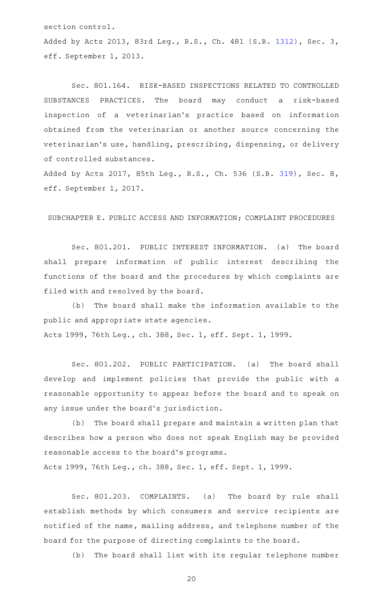section control.

Added by Acts 2013, 83rd Leg., R.S., Ch. 481 (S.B. [1312](http://www.legis.state.tx.us/tlodocs/83R/billtext/html/SB01312F.HTM)), Sec. 3, eff. September 1, 2013.

Sec. 801.164. RISK-BASED INSPECTIONS RELATED TO CONTROLLED SUBSTANCES PRACTICES. The board may conduct a risk-based inspection of a veterinarian 's practice based on information obtained from the veterinarian or another source concerning the veterinarian's use, handling, prescribing, dispensing, or delivery of controlled substances.

Added by Acts 2017, 85th Leg., R.S., Ch. 536 (S.B. [319](http://www.legis.state.tx.us/tlodocs/85R/billtext/html/SB00319F.HTM)), Sec. 8, eff. September 1, 2017.

SUBCHAPTER E. PUBLIC ACCESS AND INFORMATION; COMPLAINT PROCEDURES

Sec. 801.201. PUBLIC INTEREST INFORMATION. (a) The board shall prepare information of public interest describing the functions of the board and the procedures by which complaints are filed with and resolved by the board.

(b) The board shall make the information available to the public and appropriate state agencies. Acts 1999, 76th Leg., ch. 388, Sec. 1, eff. Sept. 1, 1999.

Sec. 801.202. PUBLIC PARTICIPATION. (a) The board shall develop and implement policies that provide the public with a reasonable opportunity to appear before the board and to speak on any issue under the board's jurisdiction.

(b) The board shall prepare and maintain a written plan that describes how a person who does not speak English may be provided reasonable access to the board 's programs.

Acts 1999, 76th Leg., ch. 388, Sec. 1, eff. Sept. 1, 1999.

Sec. 801.203. COMPLAINTS. (a) The board by rule shall establish methods by which consumers and service recipients are notified of the name, mailing address, and telephone number of the board for the purpose of directing complaints to the board.

(b) The board shall list with its regular telephone number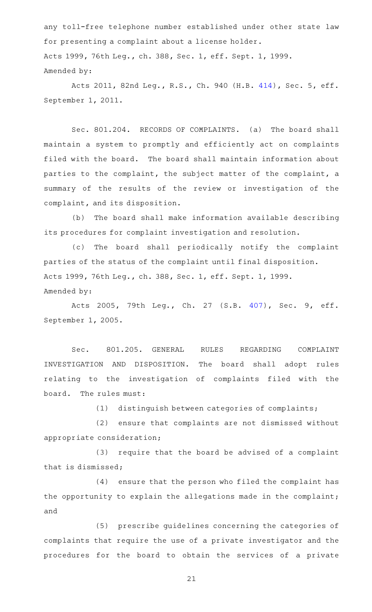any toll-free telephone number established under other state law for presenting a complaint about a license holder. Acts 1999, 76th Leg., ch. 388, Sec. 1, eff. Sept. 1, 1999. Amended by:

Acts 2011, 82nd Leg., R.S., Ch. 940 (H.B. [414](http://www.legis.state.tx.us/tlodocs/82R/billtext/html/HB00414F.HTM)), Sec. 5, eff. September 1, 2011.

Sec. 801.204. RECORDS OF COMPLAINTS. (a) The board shall maintain a system to promptly and efficiently act on complaints filed with the board. The board shall maintain information about parties to the complaint, the subject matter of the complaint, a summary of the results of the review or investigation of the complaint, and its disposition.

(b) The board shall make information available describing its procedures for complaint investigation and resolution.

(c) The board shall periodically notify the complaint parties of the status of the complaint until final disposition. Acts 1999, 76th Leg., ch. 388, Sec. 1, eff. Sept. 1, 1999. Amended by:

Acts 2005, 79th Leg., Ch. 27 (S.B. [407\)](http://www.legis.state.tx.us/tlodocs/79R/billtext/html/SB00407F.HTM), Sec. 9, eff. September 1, 2005.

Sec. 801.205. GENERAL RULES REGARDING COMPLAINT INVESTIGATION AND DISPOSITION. The board shall adopt rules relating to the investigation of complaints filed with the board. The rules must:

 $(1)$  distinguish between categories of complaints;

(2) ensure that complaints are not dismissed without appropriate consideration;

 $(3)$  require that the board be advised of a complaint that is dismissed;

(4) ensure that the person who filed the complaint has the opportunity to explain the allegations made in the complaint; and

(5) prescribe guidelines concerning the categories of complaints that require the use of a private investigator and the procedures for the board to obtain the services of a private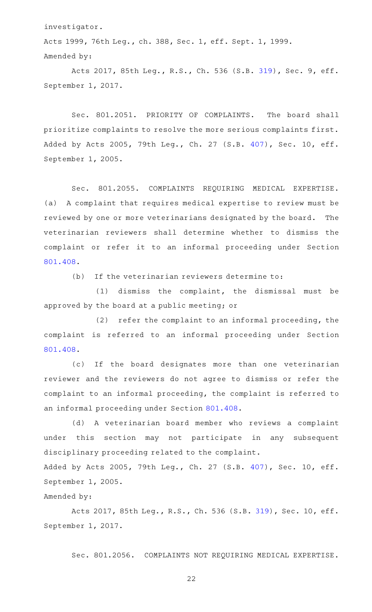investigator.

Acts 1999, 76th Leg., ch. 388, Sec. 1, eff. Sept. 1, 1999. Amended by:

Acts 2017, 85th Leg., R.S., Ch. 536 (S.B. [319](http://www.legis.state.tx.us/tlodocs/85R/billtext/html/SB00319F.HTM)), Sec. 9, eff. September 1, 2017.

Sec. 801.2051. PRIORITY OF COMPLAINTS. The board shall prioritize complaints to resolve the more serious complaints first. Added by Acts 2005, 79th Leg., Ch. 27 (S.B. [407\)](http://www.legis.state.tx.us/tlodocs/79R/billtext/html/SB00407F.HTM), Sec. 10, eff. September 1, 2005.

Sec. 801.2055. COMPLAINTS REQUIRING MEDICAL EXPERTISE. (a) A complaint that requires medical expertise to review must be reviewed by one or more veterinarians designated by the board. The veterinarian reviewers shall determine whether to dismiss the complaint or refer it to an informal proceeding under Section [801.408.](http://www.statutes.legis.state.tx.us/GetStatute.aspx?Code=OC&Value=801.408)

 $(b)$  If the veterinarian reviewers determine to:

 $(1)$  dismiss the complaint, the dismissal must be approved by the board at a public meeting; or

 $(2)$  refer the complaint to an informal proceeding, the complaint is referred to an informal proceeding under Section [801.408.](http://www.statutes.legis.state.tx.us/GetStatute.aspx?Code=OC&Value=801.408)

(c) If the board designates more than one veterinarian reviewer and the reviewers do not agree to dismiss or refer the complaint to an informal proceeding, the complaint is referred to an informal proceeding under Section [801.408.](http://www.statutes.legis.state.tx.us/GetStatute.aspx?Code=OC&Value=801.408)

(d)AAA veterinarian board member who reviews a complaint under this section may not participate in any subsequent disciplinary proceeding related to the complaint. Added by Acts 2005, 79th Leg., Ch. 27 (S.B. [407\)](http://www.legis.state.tx.us/tlodocs/79R/billtext/html/SB00407F.HTM), Sec. 10, eff. September 1, 2005.

Amended by:

Acts 2017, 85th Leg., R.S., Ch. 536 (S.B. [319\)](http://www.legis.state.tx.us/tlodocs/85R/billtext/html/SB00319F.HTM), Sec. 10, eff. September 1, 2017.

Sec. 801.2056. COMPLAINTS NOT REQUIRING MEDICAL EXPERTISE.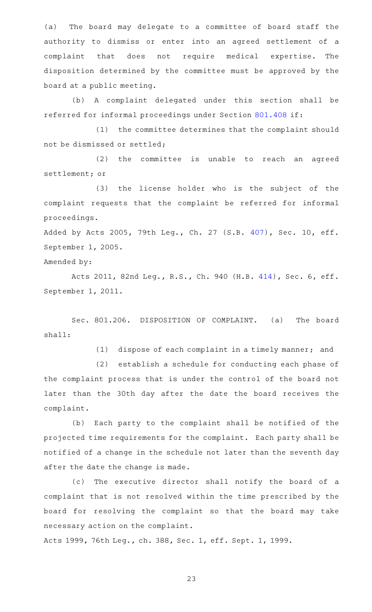(a) The board may delegate to a committee of board staff the authority to dismiss or enter into an agreed settlement of a complaint that does not require medical expertise. The disposition determined by the committee must be approved by the board at a public meeting.

(b) A complaint delegated under this section shall be referred for informal proceedings under Section [801.408](http://www.statutes.legis.state.tx.us/GetStatute.aspx?Code=OC&Value=801.408) if:

(1) the committee determines that the complaint should not be dismissed or settled;

 $(2)$  the committee is unable to reach an agreed settlement; or

(3) the license holder who is the subject of the complaint requests that the complaint be referred for informal proceedings.

Added by Acts 2005, 79th Leg., Ch. 27 (S.B. [407\)](http://www.legis.state.tx.us/tlodocs/79R/billtext/html/SB00407F.HTM), Sec. 10, eff. September 1, 2005.

Amended by:

Acts 2011, 82nd Leg., R.S., Ch. 940 (H.B. [414](http://www.legis.state.tx.us/tlodocs/82R/billtext/html/HB00414F.HTM)), Sec. 6, eff. September 1, 2011.

Sec. 801.206. DISPOSITION OF COMPLAINT. (a) The board shall:

(1) dispose of each complaint in a timely manner; and

(2) establish a schedule for conducting each phase of the complaint process that is under the control of the board not later than the 30th day after the date the board receives the complaint.

(b) Each party to the complaint shall be notified of the projected time requirements for the complaint. Each party shall be notified of a change in the schedule not later than the seventh day after the date the change is made.

(c) The executive director shall notify the board of a complaint that is not resolved within the time prescribed by the board for resolving the complaint so that the board may take necessary action on the complaint.

Acts 1999, 76th Leg., ch. 388, Sec. 1, eff. Sept. 1, 1999.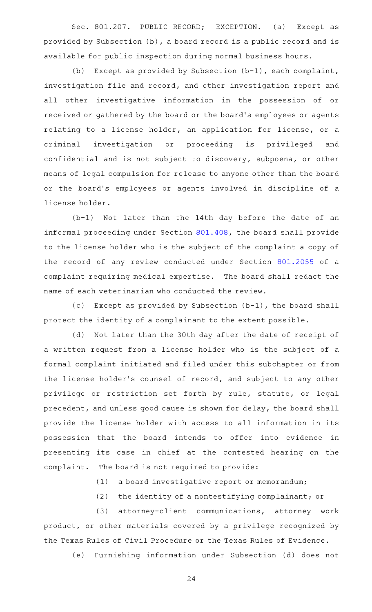Sec. 801.207. PUBLIC RECORD; EXCEPTION. (a) Except as provided by Subsection (b), a board record is a public record and is available for public inspection during normal business hours.

(b) Except as provided by Subsection  $(b-1)$ , each complaint, investigation file and record, and other investigation report and all other investigative information in the possession of or received or gathered by the board or the board 's employees or agents relating to a license holder, an application for license, or a criminal investigation or proceeding is privileged and confidential and is not subject to discovery, subpoena, or other means of legal compulsion for release to anyone other than the board or the board's employees or agents involved in discipline of a license holder.

 $(b-1)$  Not later than the 14th day before the date of an informal proceeding under Section [801.408](http://www.statutes.legis.state.tx.us/GetStatute.aspx?Code=OC&Value=801.408), the board shall provide to the license holder who is the subject of the complaint a copy of the record of any review conducted under Section [801.2055](http://www.statutes.legis.state.tx.us/GetStatute.aspx?Code=OC&Value=801.2055) of a complaint requiring medical expertise. The board shall redact the name of each veterinarian who conducted the review.

(c) Except as provided by Subsection  $(b-1)$ , the board shall protect the identity of a complainant to the extent possible.

(d) Not later than the 30th day after the date of receipt of a written request from a license holder who is the subject of a formal complaint initiated and filed under this subchapter or from the license holder 's counsel of record, and subject to any other privilege or restriction set forth by rule, statute, or legal precedent, and unless good cause is shown for delay, the board shall provide the license holder with access to all information in its possession that the board intends to offer into evidence in presenting its case in chief at the contested hearing on the complaint. The board is not required to provide:

(1) a board investigative report or memorandum;

(2) the identity of a nontestifying complainant; or

(3) attorney-client communications, attorney work product, or other materials covered by a privilege recognized by the Texas Rules of Civil Procedure or the Texas Rules of Evidence.

(e) Furnishing information under Subsection (d) does not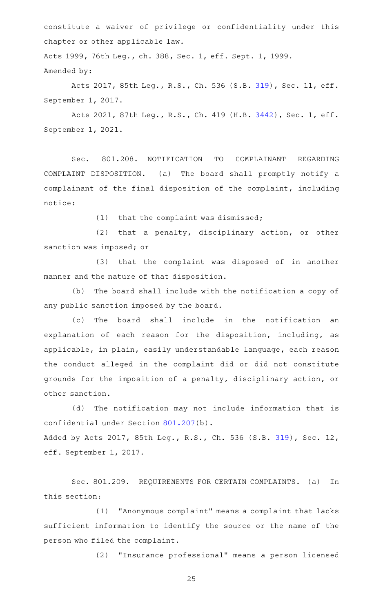constitute a waiver of privilege or confidentiality under this chapter or other applicable law.

Acts 1999, 76th Leg., ch. 388, Sec. 1, eff. Sept. 1, 1999. Amended by:

Acts 2017, 85th Leg., R.S., Ch. 536 (S.B. [319\)](http://www.legis.state.tx.us/tlodocs/85R/billtext/html/SB00319F.HTM), Sec. 11, eff. September 1, 2017.

Acts 2021, 87th Leg., R.S., Ch. 419 (H.B. [3442](http://www.legis.state.tx.us/tlodocs/87R/billtext/html/HB03442F.HTM)), Sec. 1, eff. September 1, 2021.

Sec. 801.208. NOTIFICATION TO COMPLAINANT REGARDING COMPLAINT DISPOSITION. (a) The board shall promptly notify a complainant of the final disposition of the complaint, including notice:

 $(1)$  that the complaint was dismissed;

 $(2)$  that a penalty, disciplinary action, or other sanction was imposed; or

(3) that the complaint was disposed of in another manner and the nature of that disposition.

(b) The board shall include with the notification a copy of any public sanction imposed by the board.

(c) The board shall include in the notification an explanation of each reason for the disposition, including, as applicable, in plain, easily understandable language, each reason the conduct alleged in the complaint did or did not constitute grounds for the imposition of a penalty, disciplinary action, or other sanction.

(d) The notification may not include information that is confidential under Section [801.207](http://www.statutes.legis.state.tx.us/GetStatute.aspx?Code=OC&Value=801.207)(b). Added by Acts 2017, 85th Leg., R.S., Ch. 536 (S.B. [319\)](http://www.legis.state.tx.us/tlodocs/85R/billtext/html/SB00319F.HTM), Sec. 12, eff. September 1, 2017.

Sec. 801.209. REQUIREMENTS FOR CERTAIN COMPLAINTS. (a) In this section:

(1) "Anonymous complaint" means a complaint that lacks sufficient information to identify the source or the name of the person who filed the complaint.

(2) "Insurance professional" means a person licensed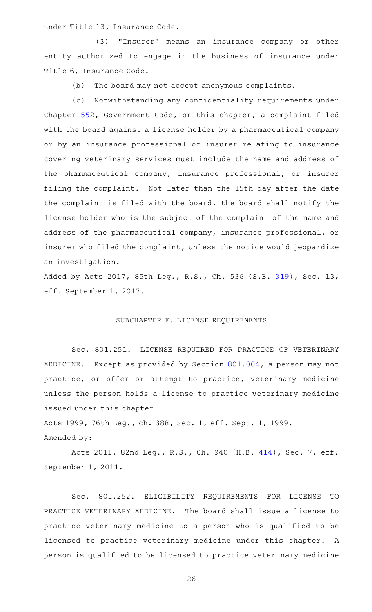under Title 13, Insurance Code.

(3) "Insurer" means an insurance company or other entity authorized to engage in the business of insurance under Title 6, Insurance Code.

(b) The board may not accept anonymous complaints.

(c) Notwithstanding any confidentiality requirements under Chapter [552](http://www.statutes.legis.state.tx.us/GetStatute.aspx?Code=GV&Value=552), Government Code, or this chapter, a complaint filed with the board against a license holder by a pharmaceutical company or by an insurance professional or insurer relating to insurance covering veterinary services must include the name and address of the pharmaceutical company, insurance professional, or insurer filing the complaint. Not later than the 15th day after the date the complaint is filed with the board, the board shall notify the license holder who is the subject of the complaint of the name and address of the pharmaceutical company, insurance professional, or insurer who filed the complaint, unless the notice would jeopardize an investigation.

Added by Acts 2017, 85th Leg., R.S., Ch. 536 (S.B. [319\)](http://www.legis.state.tx.us/tlodocs/85R/billtext/html/SB00319F.HTM), Sec. 13, eff. September 1, 2017.

# SUBCHAPTER F. LICENSE REQUIREMENTS

Sec. 801.251. LICENSE REQUIRED FOR PRACTICE OF VETERINARY MEDICINE. Except as provided by Section [801.004](http://www.statutes.legis.state.tx.us/GetStatute.aspx?Code=OC&Value=801.004), a person may not practice, or offer or attempt to practice, veterinary medicine unless the person holds a license to practice veterinary medicine issued under this chapter.

Acts 1999, 76th Leg., ch. 388, Sec. 1, eff. Sept. 1, 1999. Amended by:

Acts 2011, 82nd Leg., R.S., Ch. 940 (H.B. [414](http://www.legis.state.tx.us/tlodocs/82R/billtext/html/HB00414F.HTM)), Sec. 7, eff. September 1, 2011.

Sec. 801.252. ELIGIBILITY REQUIREMENTS FOR LICENSE TO PRACTICE VETERINARY MEDICINE. The board shall issue a license to practice veterinary medicine to a person who is qualified to be licensed to practice veterinary medicine under this chapter. A person is qualified to be licensed to practice veterinary medicine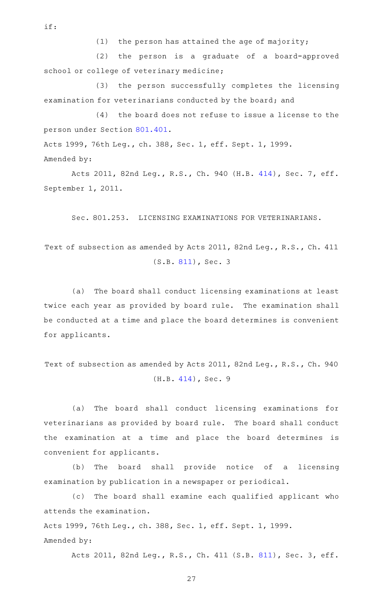if:

 $(1)$  the person has attained the age of majority;

(2) the person is a graduate of a board-approved school or college of veterinary medicine;

(3) the person successfully completes the licensing examination for veterinarians conducted by the board; and

 $(4)$  the board does not refuse to issue a license to the person under Section [801.401.](http://www.statutes.legis.state.tx.us/GetStatute.aspx?Code=OC&Value=801.401)

Acts 1999, 76th Leg., ch. 388, Sec. 1, eff. Sept. 1, 1999.

Amended by:

Acts 2011, 82nd Leg., R.S., Ch. 940 (H.B. [414](http://www.legis.state.tx.us/tlodocs/82R/billtext/html/HB00414F.HTM)), Sec. 7, eff. September 1, 2011.

Sec. 801.253. LICENSING EXAMINATIONS FOR VETERINARIANS.

Text of subsection as amended by Acts 2011, 82nd Leg., R.S., Ch. 411 (S.B. [811](http://www.legis.state.tx.us/tlodocs/82R/billtext/html/SB00811F.HTM)), Sec. 3

(a) The board shall conduct licensing examinations at least twice each year as provided by board rule. The examination shall be conducted at a time and place the board determines is convenient for applicants.

Text of subsection as amended by Acts 2011, 82nd Leg., R.S., Ch. 940 (H.B. [414](http://www.legis.state.tx.us/tlodocs/82R/billtext/html/HB00414F.HTM)), Sec. 9

(a) The board shall conduct licensing examinations for veterinarians as provided by board rule. The board shall conduct the examination at a time and place the board determines is convenient for applicants.

(b) The board shall provide notice of a licensing examination by publication in a newspaper or periodical.

(c) The board shall examine each qualified applicant who attends the examination.

Acts 1999, 76th Leg., ch. 388, Sec. 1, eff. Sept. 1, 1999. Amended by:

Acts 2011, 82nd Leg., R.S., Ch. 411 (S.B. [811](http://www.legis.state.tx.us/tlodocs/82R/billtext/html/SB00811F.HTM)), Sec. 3, eff.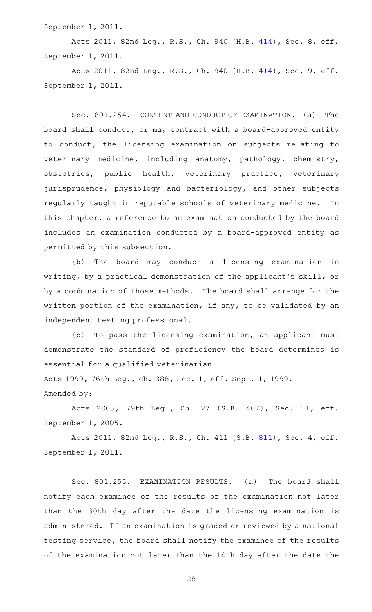September 1, 2011.

Acts 2011, 82nd Leg., R.S., Ch. 940 (H.B. [414](http://www.legis.state.tx.us/tlodocs/82R/billtext/html/HB00414F.HTM)), Sec. 8, eff. September 1, 2011.

Acts 2011, 82nd Leg., R.S., Ch. 940 (H.B. [414](http://www.legis.state.tx.us/tlodocs/82R/billtext/html/HB00414F.HTM)), Sec. 9, eff. September 1, 2011.

Sec. 801.254. CONTENT AND CONDUCT OF EXAMINATION. (a) The board shall conduct, or may contract with a board-approved entity to conduct, the licensing examination on subjects relating to veterinary medicine, including anatomy, pathology, chemistry, obstetrics, public health, veterinary practice, veterinary jurisprudence, physiology and bacteriology, and other subjects regularly taught in reputable schools of veterinary medicine. In this chapter, a reference to an examination conducted by the board includes an examination conducted by a board-approved entity as permitted by this subsection.

(b) The board may conduct a licensing examination in writing, by a practical demonstration of the applicant 's skill, or by a combination of those methods. The board shall arrange for the written portion of the examination, if any, to be validated by an independent testing professional.

(c) To pass the licensing examination, an applicant must demonstrate the standard of proficiency the board determines is essential for a qualified veterinarian.

Acts 1999, 76th Leg., ch. 388, Sec. 1, eff. Sept. 1, 1999. Amended by:

Acts 2005, 79th Leg., Ch. 27 (S.B. [407](http://www.legis.state.tx.us/tlodocs/79R/billtext/html/SB00407F.HTM)), Sec. 11, eff. September 1, 2005.

Acts 2011, 82nd Leg., R.S., Ch. 411 (S.B. [811](http://www.legis.state.tx.us/tlodocs/82R/billtext/html/SB00811F.HTM)), Sec. 4, eff. September 1, 2011.

Sec. 801.255. EXAMINATION RESULTS. (a) The board shall notify each examinee of the results of the examination not later than the 30th day after the date the licensing examination is administered. If an examination is graded or reviewed by a national testing service, the board shall notify the examinee of the results of the examination not later than the 14th day after the date the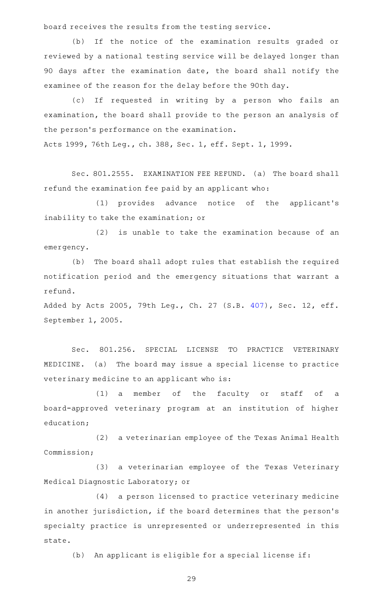board receives the results from the testing service.

(b) If the notice of the examination results graded or reviewed by a national testing service will be delayed longer than 90 days after the examination date, the board shall notify the examinee of the reason for the delay before the 90th day.

(c) If requested in writing by a person who fails an examination, the board shall provide to the person an analysis of the person's performance on the examination. Acts 1999, 76th Leg., ch. 388, Sec. 1, eff. Sept. 1, 1999.

Sec. 801.2555. EXAMINATION FEE REFUND. (a) The board shall refund the examination fee paid by an applicant who:

(1) provides advance notice of the applicant's inability to take the examination; or

 $(2)$  is unable to take the examination because of an emergency.

(b) The board shall adopt rules that establish the required notification period and the emergency situations that warrant a refund.

Added by Acts 2005, 79th Leg., Ch. 27 (S.B. [407\)](http://www.legis.state.tx.us/tlodocs/79R/billtext/html/SB00407F.HTM), Sec. 12, eff. September 1, 2005.

Sec. 801.256. SPECIAL LICENSE TO PRACTICE VETERINARY MEDICINE. (a) The board may issue a special license to practice veterinary medicine to an applicant who is:

(1) a member of the faculty or staff of a board-approved veterinary program at an institution of higher education;

(2) a veterinarian employee of the Texas Animal Health Commission;

(3) a veterinarian employee of the Texas Veterinary Medical Diagnostic Laboratory; or

(4) a person licensed to practice veterinary medicine in another jurisdiction, if the board determines that the person's specialty practice is unrepresented or underrepresented in this state.

(b) An applicant is eligible for a special license if: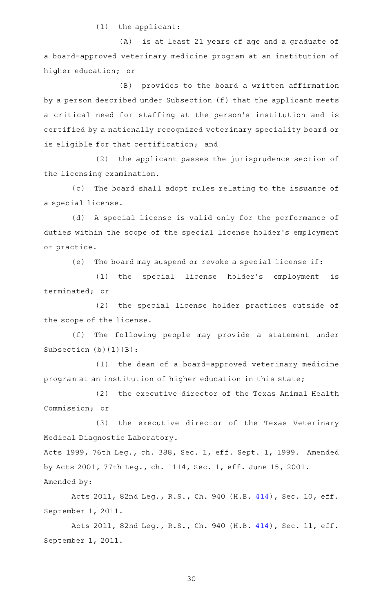$(1)$  the applicant:

(A) is at least 21 years of age and a graduate of a board-approved veterinary medicine program at an institution of higher education; or

(B) provides to the board a written affirmation by a person described under Subsection (f) that the applicant meets a critical need for staffing at the person's institution and is certified by a nationally recognized veterinary speciality board or is eligible for that certification; and

(2) the applicant passes the jurisprudence section of the licensing examination.

(c) The board shall adopt rules relating to the issuance of a special license.

(d) A special license is valid only for the performance of duties within the scope of the special license holder 's employment or practice.

(e) The board may suspend or revoke a special license if:

(1) the special license holder's employment is terminated; or

(2) the special license holder practices outside of the scope of the license.

(f) The following people may provide a statement under Subsection (b)(1)(B):

(1) the dean of a board-approved veterinary medicine program at an institution of higher education in this state;

(2) the executive director of the Texas Animal Health Commission; or

(3) the executive director of the Texas Veterinary Medical Diagnostic Laboratory.

Acts 1999, 76th Leg., ch. 388, Sec. 1, eff. Sept. 1, 1999. Amended by Acts 2001, 77th Leg., ch. 1114, Sec. 1, eff. June 15, 2001. Amended by:

Acts 2011, 82nd Leg., R.S., Ch. 940 (H.B. [414\)](http://www.legis.state.tx.us/tlodocs/82R/billtext/html/HB00414F.HTM), Sec. 10, eff. September 1, 2011.

Acts 2011, 82nd Leg., R.S., Ch. 940 (H.B. [414\)](http://www.legis.state.tx.us/tlodocs/82R/billtext/html/HB00414F.HTM), Sec. 11, eff. September 1, 2011.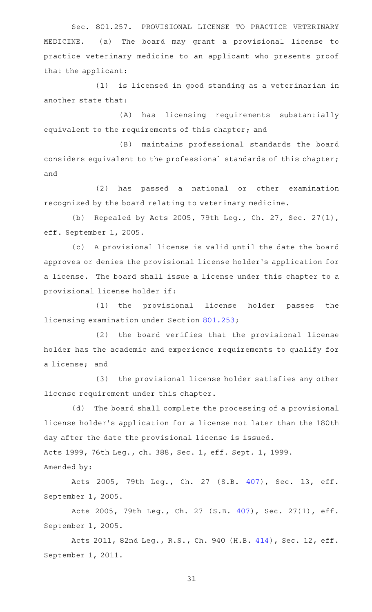Sec. 801.257. PROVISIONAL LICENSE TO PRACTICE VETERINARY MEDICINE. (a) The board may grant a provisional license to practice veterinary medicine to an applicant who presents proof that the applicant:

(1) is licensed in good standing as a veterinarian in another state that:

(A) has licensing requirements substantially equivalent to the requirements of this chapter; and

(B) maintains professional standards the board considers equivalent to the professional standards of this chapter; and

(2) has passed a national or other examination recognized by the board relating to veterinary medicine.

(b) Repealed by Acts 2005, 79th Leg., Ch. 27, Sec. 27(1), eff. September 1, 2005.

(c) A provisional license is valid until the date the board approves or denies the provisional license holder 's application for a license. The board shall issue a license under this chapter to a provisional license holder if:

(1) the provisional license holder passes the licensing examination under Section [801.253;](http://www.statutes.legis.state.tx.us/GetStatute.aspx?Code=OC&Value=801.253)

(2) the board verifies that the provisional license holder has the academic and experience requirements to qualify for a license; and

(3) the provisional license holder satisfies any other license requirement under this chapter.

(d) The board shall complete the processing of a provisional license holder 's application for a license not later than the 180th day after the date the provisional license is issued.

Acts 1999, 76th Leg., ch. 388, Sec. 1, eff. Sept. 1, 1999. Amended by:

Acts 2005, 79th Leg., Ch. 27 (S.B. [407](http://www.legis.state.tx.us/tlodocs/79R/billtext/html/SB00407F.HTM)), Sec. 13, eff. September 1, 2005.

Acts 2005, 79th Leg., Ch. 27 (S.B. [407\)](http://www.legis.state.tx.us/tlodocs/79R/billtext/html/SB00407F.HTM), Sec. 27(1), eff. September 1, 2005.

Acts 2011, 82nd Leg., R.S., Ch. 940 (H.B. [414\)](http://www.legis.state.tx.us/tlodocs/82R/billtext/html/HB00414F.HTM), Sec. 12, eff. September 1, 2011.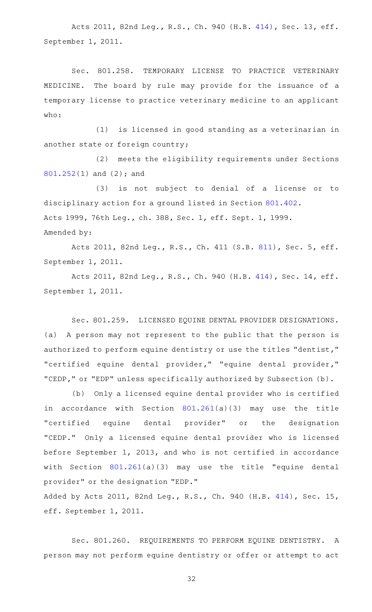Acts 2011, 82nd Leg., R.S., Ch. 940 (H.B. [414\)](http://www.legis.state.tx.us/tlodocs/82R/billtext/html/HB00414F.HTM), Sec. 13, eff. September 1, 2011.

Sec. 801.258. TEMPORARY LICENSE TO PRACTICE VETERINARY MEDICINE. The board by rule may provide for the issuance of a temporary license to practice veterinary medicine to an applicant who:

(1) is licensed in good standing as a veterinarian in another state or foreign country;

(2) meets the eligibility requirements under Sections [801.252\(](http://www.statutes.legis.state.tx.us/GetStatute.aspx?Code=OC&Value=801.252)1) and (2); and

(3) is not subject to denial of a license or to disciplinary action for a ground listed in Section [801.402.](http://www.statutes.legis.state.tx.us/GetStatute.aspx?Code=OC&Value=801.402) Acts 1999, 76th Leg., ch. 388, Sec. 1, eff. Sept. 1, 1999. Amended by:

Acts 2011, 82nd Leg., R.S., Ch. 411 (S.B. [811](http://www.legis.state.tx.us/tlodocs/82R/billtext/html/SB00811F.HTM)), Sec. 5, eff. September 1, 2011.

Acts 2011, 82nd Leg., R.S., Ch. 940 (H.B. [414\)](http://www.legis.state.tx.us/tlodocs/82R/billtext/html/HB00414F.HTM), Sec. 14, eff. September 1, 2011.

Sec. 801.259. LICENSED EQUINE DENTAL PROVIDER DESIGNATIONS. (a) A person may not represent to the public that the person is authorized to perform equine dentistry or use the titles "dentist," "certified equine dental provider," "equine dental provider," "CEDP," or "EDP" unless specifically authorized by Subsection (b).

(b) Only a licensed equine dental provider who is certified in accordance with Section [801.261\(](http://www.statutes.legis.state.tx.us/GetStatute.aspx?Code=OC&Value=801.261)a)(3) may use the title "certified equine dental provider" or the designation "CEDP." Only a licensed equine dental provider who is licensed before September 1, 2013, and who is not certified in accordance with Section [801.261](http://www.statutes.legis.state.tx.us/GetStatute.aspx?Code=OC&Value=801.261)(a)(3) may use the title "equine dental provider" or the designation "EDP."

Added by Acts 2011, 82nd Leg., R.S., Ch. 940 (H.B. [414\)](http://www.legis.state.tx.us/tlodocs/82R/billtext/html/HB00414F.HTM), Sec. 15, eff. September 1, 2011.

Sec. 801.260. REQUIREMENTS TO PERFORM EQUINE DENTISTRY. A person may not perform equine dentistry or offer or attempt to act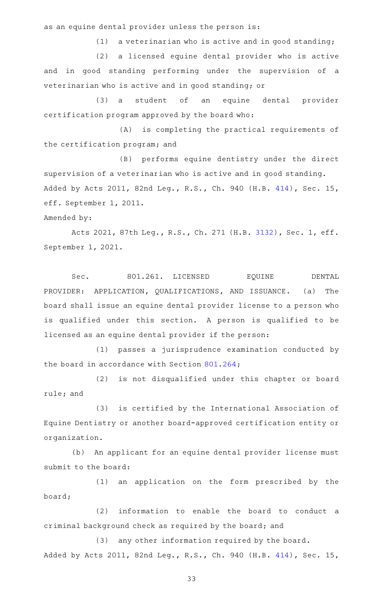as an equine dental provider unless the person is:

 $(1)$  a veterinarian who is active and in good standing;

(2) a licensed equine dental provider who is active and in good standing performing under the supervision of a veterinarian who is active and in good standing; or

(3) a student of an equine dental provider certification program approved by the board who:

(A) is completing the practical requirements of the certification program; and

(B) performs equine dentistry under the direct supervision of a veterinarian who is active and in good standing. Added by Acts 2011, 82nd Leg., R.S., Ch. 940 (H.B. [414\)](http://www.legis.state.tx.us/tlodocs/82R/billtext/html/HB00414F.HTM), Sec. 15, eff. September 1, 2011.

# Amended by:

Acts 2021, 87th Leg., R.S., Ch. 271 (H.B. [3132](http://www.legis.state.tx.us/tlodocs/87R/billtext/html/HB03132F.HTM)), Sec. 1, eff. September 1, 2021.

Sec. 801.261. LICENSED EQUINE DENTAL PROVIDER: APPLICATION, QUALIFICATIONS, AND ISSUANCE. (a) The board shall issue an equine dental provider license to a person who is qualified under this section. A person is qualified to be licensed as an equine dental provider if the person:

(1) passes a jurisprudence examination conducted by the board in accordance with Section [801.264](http://www.statutes.legis.state.tx.us/GetStatute.aspx?Code=OC&Value=801.264);

(2) is not disqualified under this chapter or board rule; and

(3) is certified by the International Association of Equine Dentistry or another board-approved certification entity or organization.

(b) An applicant for an equine dental provider license must submit to the board:

(1) an application on the form prescribed by the board;

(2) information to enable the board to conduct a criminal background check as required by the board; and

(3) any other information required by the board. Added by Acts 2011, 82nd Leg., R.S., Ch. 940 (H.B. [414\)](http://www.legis.state.tx.us/tlodocs/82R/billtext/html/HB00414F.HTM), Sec. 15,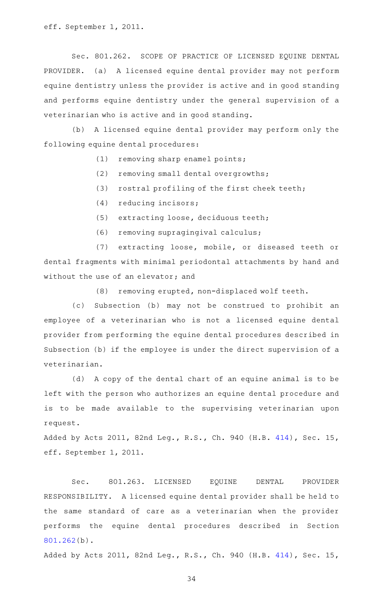eff. September 1, 2011.

Sec. 801.262. SCOPE OF PRACTICE OF LICENSED EQUINE DENTAL PROVIDER. (a) A licensed equine dental provider may not perform equine dentistry unless the provider is active and in good standing and performs equine dentistry under the general supervision of a veterinarian who is active and in good standing.

(b) A licensed equine dental provider may perform only the following equine dental procedures:

- $(1)$  removing sharp enamel points;
- $(2)$  removing small dental overgrowths;
- (3) rostral profiling of the first cheek teeth;
- (4) reducing incisors;
- (5) extracting loose, deciduous teeth;
- (6) removing supragingival calculus;

(7) extracting loose, mobile, or diseased teeth or dental fragments with minimal periodontal attachments by hand and without the use of an elevator; and

(8) removing erupted, non-displaced wolf teeth.

(c) Subsection (b) may not be construed to prohibit an employee of a veterinarian who is not a licensed equine dental provider from performing the equine dental procedures described in Subsection (b) if the employee is under the direct supervision of a veterinarian.

(d) A copy of the dental chart of an equine animal is to be left with the person who authorizes an equine dental procedure and is to be made available to the supervising veterinarian upon request.

Added by Acts 2011, 82nd Leg., R.S., Ch. 940 (H.B. [414\)](http://www.legis.state.tx.us/tlodocs/82R/billtext/html/HB00414F.HTM), Sec. 15, eff. September 1, 2011.

Sec. 801.263. LICENSED EQUINE DENTAL PROVIDER RESPONSIBILITY. A licensed equine dental provider shall be held to the same standard of care as a veterinarian when the provider performs the equine dental procedures described in Section [801.262\(](http://www.statutes.legis.state.tx.us/GetStatute.aspx?Code=OC&Value=801.262)b).

Added by Acts 2011, 82nd Leg., R.S., Ch. 940 (H.B. [414\)](http://www.legis.state.tx.us/tlodocs/82R/billtext/html/HB00414F.HTM), Sec. 15,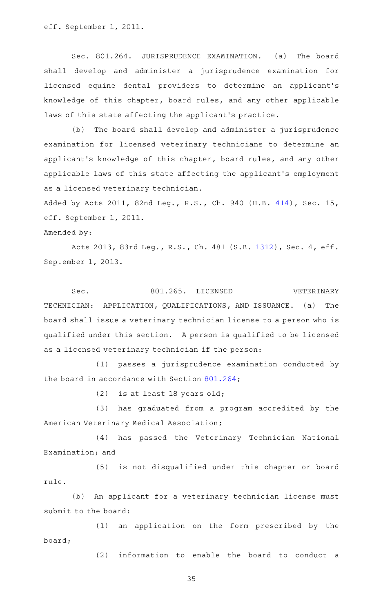eff. September 1, 2011.

Sec. 801.264. JURISPRUDENCE EXAMINATION. (a) The board shall develop and administer a jurisprudence examination for licensed equine dental providers to determine an applicant 's knowledge of this chapter, board rules, and any other applicable laws of this state affecting the applicant 's practice.

(b) The board shall develop and administer a jurisprudence examination for licensed veterinary technicians to determine an applicant 's knowledge of this chapter, board rules, and any other applicable laws of this state affecting the applicant 's employment as a licensed veterinary technician.

Added by Acts 2011, 82nd Leg., R.S., Ch. 940 (H.B. [414\)](http://www.legis.state.tx.us/tlodocs/82R/billtext/html/HB00414F.HTM), Sec. 15, eff. September 1, 2011.

Amended by:

Acts 2013, 83rd Leg., R.S., Ch. 481 (S.B. [1312](http://www.legis.state.tx.us/tlodocs/83R/billtext/html/SB01312F.HTM)), Sec. 4, eff. September 1, 2013.

Sec. 801.265. LICENSED VETERINARY TECHNICIAN: APPLICATION, QUALIFICATIONS, AND ISSUANCE. (a) The board shall issue a veterinary technician license to a person who is qualified under this section. A person is qualified to be licensed as a licensed veterinary technician if the person:

(1) passes a jurisprudence examination conducted by the board in accordance with Section [801.264](http://www.statutes.legis.state.tx.us/GetStatute.aspx?Code=OC&Value=801.264);

(2) is at least 18 years old;

(3) has graduated from a program accredited by the American Veterinary Medical Association;

(4) has passed the Veterinary Technician National Examination; and

(5) is not disqualified under this chapter or board rule.

(b) An applicant for a veterinary technician license must submit to the board:

(1) an application on the form prescribed by the board;

(2) information to enable the board to conduct a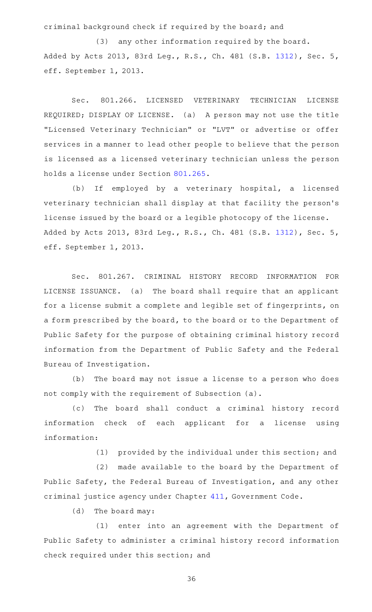criminal background check if required by the board; and

 $(3)$  any other information required by the board. Added by Acts 2013, 83rd Leg., R.S., Ch. 481 (S.B. [1312](http://www.legis.state.tx.us/tlodocs/83R/billtext/html/SB01312F.HTM)), Sec. 5, eff. September 1, 2013.

Sec. 801.266. LICENSED VETERINARY TECHNICIAN LICENSE REQUIRED; DISPLAY OF LICENSE. (a) A person may not use the title "Licensed Veterinary Technician" or "LVT" or advertise or offer services in a manner to lead other people to believe that the person is licensed as a licensed veterinary technician unless the person holds a license under Section [801.265.](http://www.statutes.legis.state.tx.us/GetStatute.aspx?Code=OC&Value=801.265)

(b) If employed by a veterinary hospital, a licensed veterinary technician shall display at that facility the person 's license issued by the board or a legible photocopy of the license. Added by Acts 2013, 83rd Leg., R.S., Ch. 481 (S.B. [1312](http://www.legis.state.tx.us/tlodocs/83R/billtext/html/SB01312F.HTM)), Sec. 5, eff. September 1, 2013.

Sec. 801.267. CRIMINAL HISTORY RECORD INFORMATION FOR LICENSE ISSUANCE. (a) The board shall require that an applicant for a license submit a complete and legible set of fingerprints, on a form prescribed by the board, to the board or to the Department of Public Safety for the purpose of obtaining criminal history record information from the Department of Public Safety and the Federal Bureau of Investigation.

(b) The board may not issue a license to a person who does not comply with the requirement of Subsection (a).

(c) The board shall conduct a criminal history record information check of each applicant for a license using information:

(1) provided by the individual under this section; and

(2) made available to the board by the Department of Public Safety, the Federal Bureau of Investigation, and any other criminal justice agency under Chapter [411,](http://www.statutes.legis.state.tx.us/GetStatute.aspx?Code=GV&Value=411) Government Code.

(d) The board may:

(1) enter into an agreement with the Department of Public Safety to administer a criminal history record information check required under this section; and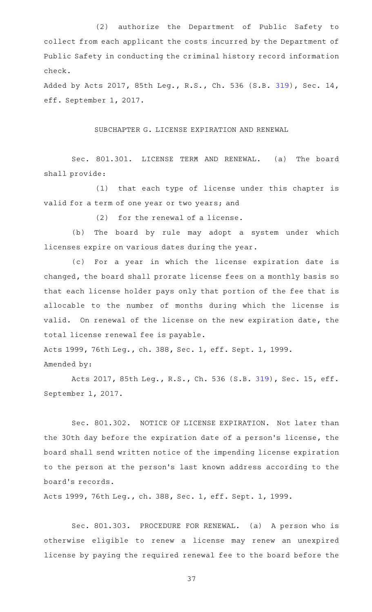(2) authorize the Department of Public Safety to collect from each applicant the costs incurred by the Department of Public Safety in conducting the criminal history record information check.

Added by Acts 2017, 85th Leg., R.S., Ch. 536 (S.B. [319\)](http://www.legis.state.tx.us/tlodocs/85R/billtext/html/SB00319F.HTM), Sec. 14, eff. September 1, 2017.

#### SUBCHAPTER G. LICENSE EXPIRATION AND RENEWAL

Sec. 801.301. LICENSE TERM AND RENEWAL. (a) The board shall provide:

(1) that each type of license under this chapter is valid for a term of one year or two years; and

 $(2)$  for the renewal of a license.

(b) The board by rule may adopt a system under which licenses expire on various dates during the year.

(c) For a year in which the license expiration date is changed, the board shall prorate license fees on a monthly basis so that each license holder pays only that portion of the fee that is allocable to the number of months during which the license is valid. On renewal of the license on the new expiration date, the total license renewal fee is payable.

Acts 1999, 76th Leg., ch. 388, Sec. 1, eff. Sept. 1, 1999. Amended by:

Acts 2017, 85th Leg., R.S., Ch. 536 (S.B. [319\)](http://www.legis.state.tx.us/tlodocs/85R/billtext/html/SB00319F.HTM), Sec. 15, eff. September 1, 2017.

Sec. 801.302. NOTICE OF LICENSE EXPIRATION. Not later than the 30th day before the expiration date of a person's license, the board shall send written notice of the impending license expiration to the person at the person 's last known address according to the board 's records.

Acts 1999, 76th Leg., ch. 388, Sec. 1, eff. Sept. 1, 1999.

Sec. 801.303. PROCEDURE FOR RENEWAL. (a) A person who is otherwise eligible to renew a license may renew an unexpired license by paying the required renewal fee to the board before the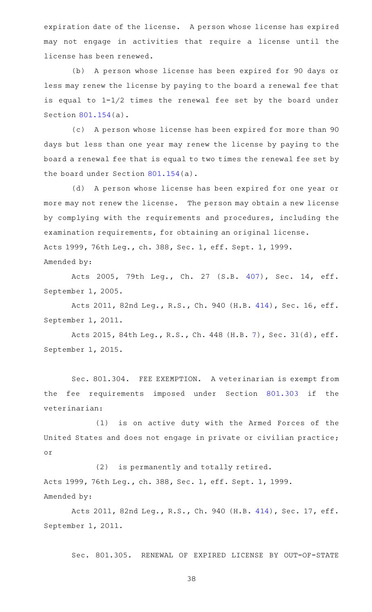expiration date of the license. A person whose license has expired may not engage in activities that require a license until the license has been renewed.

(b) A person whose license has been expired for 90 days or less may renew the license by paying to the board a renewal fee that is equal to 1-1/2 times the renewal fee set by the board under Section [801.154\(](http://www.statutes.legis.state.tx.us/GetStatute.aspx?Code=OC&Value=801.154)a).

(c) A person whose license has been expired for more than 90 days but less than one year may renew the license by paying to the board a renewal fee that is equal to two times the renewal fee set by the board under Section [801.154\(](http://www.statutes.legis.state.tx.us/GetStatute.aspx?Code=OC&Value=801.154)a).

(d) A person whose license has been expired for one year or more may not renew the license. The person may obtain a new license by complying with the requirements and procedures, including the examination requirements, for obtaining an original license. Acts 1999, 76th Leg., ch. 388, Sec. 1, eff. Sept. 1, 1999. Amended by:

Acts 2005, 79th Leg., Ch. 27 (S.B. [407](http://www.legis.state.tx.us/tlodocs/79R/billtext/html/SB00407F.HTM)), Sec. 14, eff. September 1, 2005.

Acts 2011, 82nd Leg., R.S., Ch. 940 (H.B. [414\)](http://www.legis.state.tx.us/tlodocs/82R/billtext/html/HB00414F.HTM), Sec. 16, eff. September 1, 2011.

Acts 2015, 84th Leg., R.S., Ch. 448 (H.B. [7](http://www.legis.state.tx.us/tlodocs/84R/billtext/html/HB00007F.HTM)), Sec. 31(d), eff. September 1, 2015.

Sec. 801.304. FEE EXEMPTION. A veterinarian is exempt from the fee requirements imposed under Section [801.303](http://www.statutes.legis.state.tx.us/GetStatute.aspx?Code=OC&Value=801.303) if the veterinarian:

(1) is on active duty with the Armed Forces of the United States and does not engage in private or civilian practice; or

(2) is permanently and totally retired. Acts 1999, 76th Leg., ch. 388, Sec. 1, eff. Sept. 1, 1999. Amended by:

Acts 2011, 82nd Leg., R.S., Ch. 940 (H.B. [414\)](http://www.legis.state.tx.us/tlodocs/82R/billtext/html/HB00414F.HTM), Sec. 17, eff. September 1, 2011.

Sec. 801.305. RENEWAL OF EXPIRED LICENSE BY OUT-OF-STATE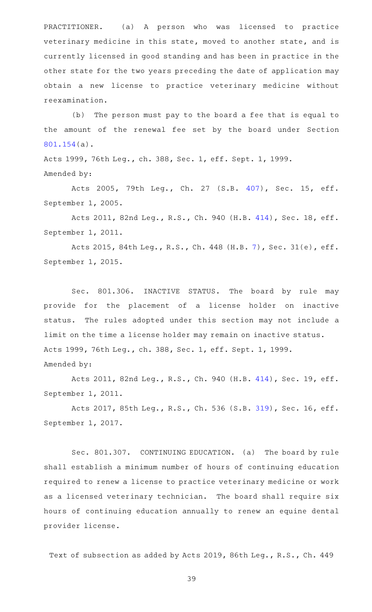PRACTITIONER. (a) A person who was licensed to practice veterinary medicine in this state, moved to another state, and is currently licensed in good standing and has been in practice in the other state for the two years preceding the date of application may obtain a new license to practice veterinary medicine without reexamination.

(b) The person must pay to the board a fee that is equal to the amount of the renewal fee set by the board under Section [801.154\(](http://www.statutes.legis.state.tx.us/GetStatute.aspx?Code=OC&Value=801.154)a).

Acts 1999, 76th Leg., ch. 388, Sec. 1, eff. Sept. 1, 1999. Amended by:

Acts 2005, 79th Leg., Ch. 27 (S.B. [407](http://www.legis.state.tx.us/tlodocs/79R/billtext/html/SB00407F.HTM)), Sec. 15, eff. September 1, 2005.

Acts 2011, 82nd Leg., R.S., Ch. 940 (H.B. [414\)](http://www.legis.state.tx.us/tlodocs/82R/billtext/html/HB00414F.HTM), Sec. 18, eff. September 1, 2011.

Acts 2015, 84th Leg., R.S., Ch. 448 (H.B. [7](http://www.legis.state.tx.us/tlodocs/84R/billtext/html/HB00007F.HTM)), Sec. 31(e), eff. September 1, 2015.

Sec. 801.306. INACTIVE STATUS. The board by rule may provide for the placement of a license holder on inactive status. The rules adopted under this section may not include a limit on the time a license holder may remain on inactive status. Acts 1999, 76th Leg., ch. 388, Sec. 1, eff. Sept. 1, 1999. Amended by:

Acts 2011, 82nd Leg., R.S., Ch. 940 (H.B. [414\)](http://www.legis.state.tx.us/tlodocs/82R/billtext/html/HB00414F.HTM), Sec. 19, eff. September 1, 2011.

Acts 2017, 85th Leg., R.S., Ch. 536 (S.B. [319\)](http://www.legis.state.tx.us/tlodocs/85R/billtext/html/SB00319F.HTM), Sec. 16, eff. September 1, 2017.

Sec. 801.307. CONTINUING EDUCATION. (a) The board by rule shall establish a minimum number of hours of continuing education required to renew a license to practice veterinary medicine or work as a licensed veterinary technician. The board shall require six hours of continuing education annually to renew an equine dental provider license.

Text of subsection as added by Acts 2019, 86th Leg., R.S., Ch. 449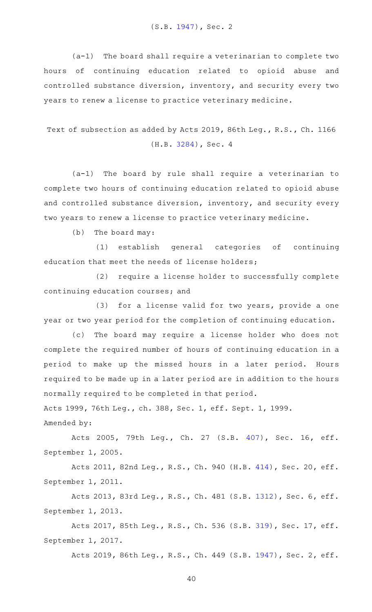(S.B. [1947](http://www.legis.state.tx.us/tlodocs/86R/billtext/html/SB01947F.HTM)), Sec. 2

 $(a-1)$  The board shall require a veterinarian to complete two hours of continuing education related to opioid abuse and controlled substance diversion, inventory, and security every two years to renew a license to practice veterinary medicine.

Text of subsection as added by Acts 2019, 86th Leg., R.S., Ch. 1166 (H.B. [3284\)](http://www.legis.state.tx.us/tlodocs/86R/billtext/html/HB03284F.HTM), Sec. 4

(a-1) The board by rule shall require a veterinarian to complete two hours of continuing education related to opioid abuse and controlled substance diversion, inventory, and security every two years to renew a license to practice veterinary medicine.

 $(b)$  The board may:

(1) establish general categories of continuing education that meet the needs of license holders;

(2) require a license holder to successfully complete continuing education courses; and

(3) for a license valid for two years, provide a one year or two year period for the completion of continuing education.

(c) The board may require a license holder who does not complete the required number of hours of continuing education in a period to make up the missed hours in a later period. Hours required to be made up in a later period are in addition to the hours normally required to be completed in that period.

Acts 1999, 76th Leg., ch. 388, Sec. 1, eff. Sept. 1, 1999.

Amended by:

Acts 2005, 79th Leg., Ch. 27 (S.B. [407](http://www.legis.state.tx.us/tlodocs/79R/billtext/html/SB00407F.HTM)), Sec. 16, eff. September 1, 2005.

Acts 2011, 82nd Leg., R.S., Ch. 940 (H.B. [414\)](http://www.legis.state.tx.us/tlodocs/82R/billtext/html/HB00414F.HTM), Sec. 20, eff. September 1, 2011.

Acts 2013, 83rd Leg., R.S., Ch. 481 (S.B. [1312](http://www.legis.state.tx.us/tlodocs/83R/billtext/html/SB01312F.HTM)), Sec. 6, eff. September 1, 2013.

Acts 2017, 85th Leg., R.S., Ch. 536 (S.B. [319\)](http://www.legis.state.tx.us/tlodocs/85R/billtext/html/SB00319F.HTM), Sec. 17, eff. September 1, 2017.

Acts 2019, 86th Leg., R.S., Ch. 449 (S.B. [1947](http://www.legis.state.tx.us/tlodocs/86R/billtext/html/SB01947F.HTM)), Sec. 2, eff.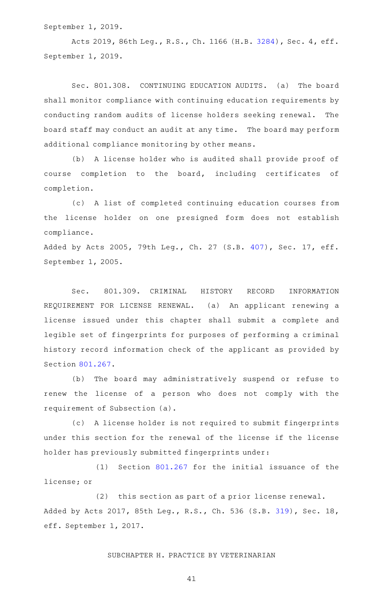September 1, 2019.

Acts 2019, 86th Leg., R.S., Ch. 1166 (H.B. [3284](http://www.legis.state.tx.us/tlodocs/86R/billtext/html/HB03284F.HTM)), Sec. 4, eff. September 1, 2019.

Sec. 801.308. CONTINUING EDUCATION AUDITS. (a) The board shall monitor compliance with continuing education requirements by conducting random audits of license holders seeking renewal. The board staff may conduct an audit at any time. The board may perform additional compliance monitoring by other means.

(b) A license holder who is audited shall provide proof of course completion to the board, including certificates of completion.

(c)AAA list of completed continuing education courses from the license holder on one presigned form does not establish compliance.

Added by Acts 2005, 79th Leg., Ch. 27 (S.B. [407\)](http://www.legis.state.tx.us/tlodocs/79R/billtext/html/SB00407F.HTM), Sec. 17, eff. September 1, 2005.

Sec. 801.309. CRIMINAL HISTORY RECORD INFORMATION REQUIREMENT FOR LICENSE RENEWAL. (a) An applicant renewing a license issued under this chapter shall submit a complete and legible set of fingerprints for purposes of performing a criminal history record information check of the applicant as provided by Section [801.267.](http://www.statutes.legis.state.tx.us/GetStatute.aspx?Code=OC&Value=801.267)

(b) The board may administratively suspend or refuse to renew the license of a person who does not comply with the requirement of Subsection (a).

(c)AAA license holder is not required to submit fingerprints under this section for the renewal of the license if the license holder has previously submitted fingerprints under:

 $(1)$  Section [801.267](http://www.statutes.legis.state.tx.us/GetStatute.aspx?Code=OC&Value=801.267) for the initial issuance of the license; or

(2) this section as part of a prior license renewal. Added by Acts 2017, 85th Leg., R.S., Ch. 536 (S.B. [319\)](http://www.legis.state.tx.us/tlodocs/85R/billtext/html/SB00319F.HTM), Sec. 18, eff. September 1, 2017.

#### SUBCHAPTER H. PRACTICE BY VETERINARIAN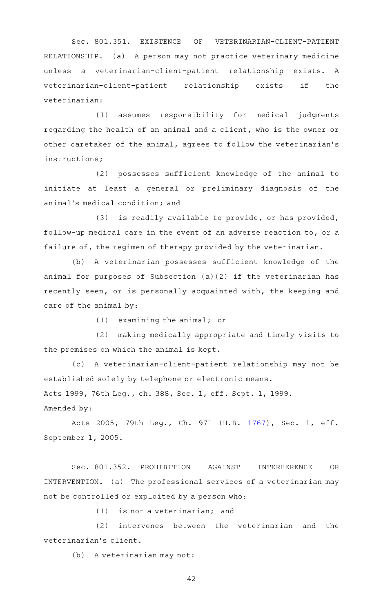Sec. 801.351. EXISTENCE OF VETERINARIAN-CLIENT-PATIENT RELATIONSHIP. (a) A person may not practice veterinary medicine unless a veterinarian-client-patient relationship exists. A veterinarian-client-patient relationship exists if the veterinarian:

(1) assumes responsibility for medical judgments regarding the health of an animal and a client, who is the owner or other caretaker of the animal, agrees to follow the veterinarian 's instructions;

(2) possesses sufficient knowledge of the animal to initiate at least a general or preliminary diagnosis of the animal 's medical condition; and

(3) is readily available to provide, or has provided, follow-up medical care in the event of an adverse reaction to, or a failure of, the regimen of therapy provided by the veterinarian.

(b) A veterinarian possesses sufficient knowledge of the animal for purposes of Subsection (a)(2) if the veterinarian has recently seen, or is personally acquainted with, the keeping and care of the animal by:

 $(1)$  examining the animal; or

(2) making medically appropriate and timely visits to the premises on which the animal is kept.

(c)AAA veterinarian-client-patient relationship may not be established solely by telephone or electronic means. Acts 1999, 76th Leg., ch. 388, Sec. 1, eff. Sept. 1, 1999. Amended by:

Acts 2005, 79th Leg., Ch. 971 (H.B. [1767](http://www.legis.state.tx.us/tlodocs/79R/billtext/html/HB01767F.HTM)), Sec. 1, eff. September 1, 2005.

Sec. 801.352. PROHIBITION AGAINST INTERFERENCE OR INTERVENTION. (a) The professional services of a veterinarian may not be controlled or exploited by a person who:

 $(1)$  is not a veterinarian; and

(2) intervenes between the veterinarian and the veterinarian 's client.

(b) A veterinarian may not: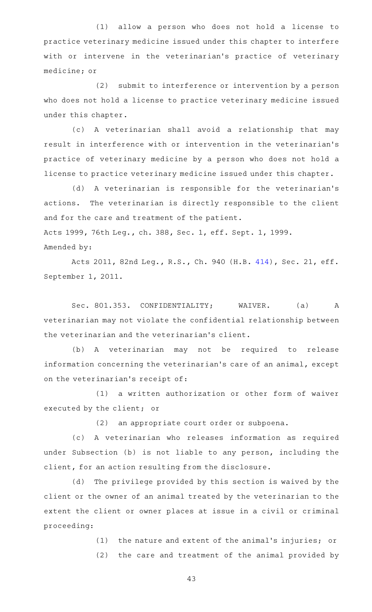(1) allow a person who does not hold a license to practice veterinary medicine issued under this chapter to interfere with or intervene in the veterinarian's practice of veterinary medicine; or

(2) submit to interference or intervention by a person who does not hold a license to practice veterinary medicine issued under this chapter.

(c)AAA veterinarian shall avoid a relationship that may result in interference with or intervention in the veterinarian 's practice of veterinary medicine by a person who does not hold a license to practice veterinary medicine issued under this chapter.

(d) A veterinarian is responsible for the veterinarian's actions. The veterinarian is directly responsible to the client and for the care and treatment of the patient. Acts 1999, 76th Leg., ch. 388, Sec. 1, eff. Sept. 1, 1999. Amended by:

Acts 2011, 82nd Leg., R.S., Ch. 940 (H.B. [414\)](http://www.legis.state.tx.us/tlodocs/82R/billtext/html/HB00414F.HTM), Sec. 21, eff. September 1, 2011.

Sec. 801.353. CONFIDENTIALITY; WAIVER. (a) A veterinarian may not violate the confidential relationship between the veterinarian and the veterinarian 's client.

(b)AAA veterinarian may not be required to release information concerning the veterinarian 's care of an animal, except on the veterinarian's receipt of:

(1) a written authorization or other form of waiver executed by the client; or

(2) an appropriate court order or subpoena.

(c)AAA veterinarian who releases information as required under Subsection (b) is not liable to any person, including the client, for an action resulting from the disclosure.

(d) The privilege provided by this section is waived by the client or the owner of an animal treated by the veterinarian to the extent the client or owner places at issue in a civil or criminal proceeding:

> (1) the nature and extent of the animal's injuries; or (2) the care and treatment of the animal provided by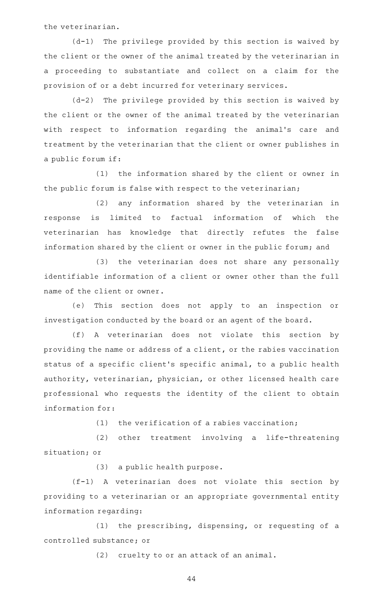the veterinarian.

 $(d-1)$  The privilege provided by this section is waived by the client or the owner of the animal treated by the veterinarian in a proceeding to substantiate and collect on a claim for the provision of or a debt incurred for veterinary services.

 $(d-2)$  The privilege provided by this section is waived by the client or the owner of the animal treated by the veterinarian with respect to information regarding the animal's care and treatment by the veterinarian that the client or owner publishes in a public forum if:

(1) the information shared by the client or owner in the public forum is false with respect to the veterinarian;

(2) any information shared by the veterinarian in response is limited to factual information of which the veterinarian has knowledge that directly refutes the false information shared by the client or owner in the public forum; and

(3) the veterinarian does not share any personally identifiable information of a client or owner other than the full name of the client or owner.

(e) This section does not apply to an inspection or investigation conducted by the board or an agent of the board.

(f)AAA veterinarian does not violate this section by providing the name or address of a client, or the rabies vaccination status of a specific client 's specific animal, to a public health authority, veterinarian, physician, or other licensed health care professional who requests the identity of the client to obtain information for:

 $(1)$  the verification of a rabies vaccination;

(2) other treatment involving a life-threatening situation; or

 $(3)$  a public health purpose.

(f-1)AAA veterinarian does not violate this section by providing to a veterinarian or an appropriate governmental entity information regarding:

 $(1)$  the prescribing, dispensing, or requesting of a controlled substance; or

(2) cruelty to or an attack of an animal.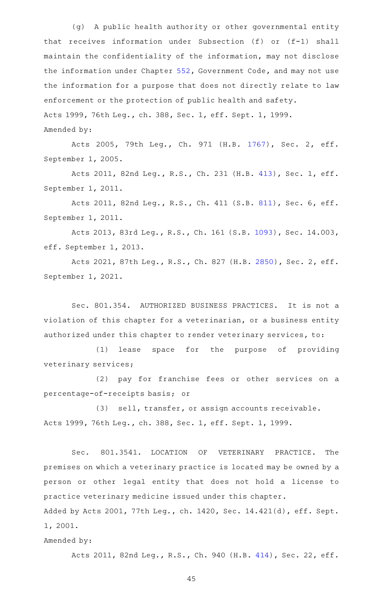(g) A public health authority or other governmental entity that receives information under Subsection (f) or (f-1) shall maintain the confidentiality of the information, may not disclose the information under Chapter [552](http://www.statutes.legis.state.tx.us/GetStatute.aspx?Code=GV&Value=552), Government Code, and may not use the information for a purpose that does not directly relate to law enforcement or the protection of public health and safety. Acts 1999, 76th Leg., ch. 388, Sec. 1, eff. Sept. 1, 1999. Amended by:

Acts 2005, 79th Leg., Ch. 971 (H.B. [1767](http://www.legis.state.tx.us/tlodocs/79R/billtext/html/HB01767F.HTM)), Sec. 2, eff. September 1, 2005.

Acts 2011, 82nd Leg., R.S., Ch. 231 (H.B. [413](http://www.legis.state.tx.us/tlodocs/82R/billtext/html/HB00413F.HTM)), Sec. 1, eff. September 1, 2011.

Acts 2011, 82nd Leg., R.S., Ch. 411 (S.B. [811](http://www.legis.state.tx.us/tlodocs/82R/billtext/html/SB00811F.HTM)), Sec. 6, eff. September 1, 2011.

Acts 2013, 83rd Leg., R.S., Ch. 161 (S.B. [1093\)](http://www.legis.state.tx.us/tlodocs/83R/billtext/html/SB01093F.HTM), Sec. 14.003, eff. September 1, 2013.

Acts 2021, 87th Leg., R.S., Ch. 827 (H.B. [2850](http://www.legis.state.tx.us/tlodocs/87R/billtext/html/HB02850F.HTM)), Sec. 2, eff. September 1, 2021.

Sec. 801.354. AUTHORIZED BUSINESS PRACTICES. It is not a violation of this chapter for a veterinarian, or a business entity authorized under this chapter to render veterinary services, to:

(1) lease space for the purpose of providing veterinary services;

(2) pay for franchise fees or other services on a percentage-of-receipts basis; or

(3) sell, transfer, or assign accounts receivable. Acts 1999, 76th Leg., ch. 388, Sec. 1, eff. Sept. 1, 1999.

Sec. 801.3541. LOCATION OF VETERINARY PRACTICE. The premises on which a veterinary practice is located may be owned by a person or other legal entity that does not hold a license to practice veterinary medicine issued under this chapter.

Added by Acts 2001, 77th Leg., ch. 1420, Sec. 14.421(d), eff. Sept. 1, 2001.

Amended by:

Acts 2011, 82nd Leg., R.S., Ch. 940 (H.B. [414\)](http://www.legis.state.tx.us/tlodocs/82R/billtext/html/HB00414F.HTM), Sec. 22, eff.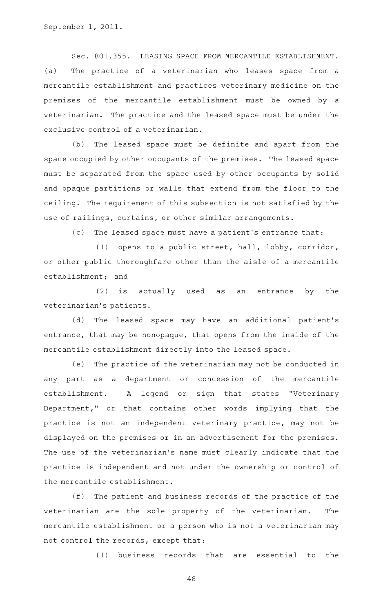Sec. 801.355. LEASING SPACE FROM MERCANTILE ESTABLISHMENT. (a) The practice of a veterinarian who leases space from a mercantile establishment and practices veterinary medicine on the premises of the mercantile establishment must be owned by a veterinarian. The practice and the leased space must be under the exclusive control of a veterinarian.

(b) The leased space must be definite and apart from the space occupied by other occupants of the premises. The leased space must be separated from the space used by other occupants by solid and opaque partitions or walls that extend from the floor to the ceiling. The requirement of this subsection is not satisfied by the use of railings, curtains, or other similar arrangements.

(c) The leased space must have a patient's entrance that:

(1) opens to a public street, hall, lobby, corridor, or other public thoroughfare other than the aisle of a mercantile establishment; and

 $(2)$  is actually used as an entrance by the veterinarian 's patients.

(d) The leased space may have an additional patient's entrance, that may be nonopaque, that opens from the inside of the mercantile establishment directly into the leased space.

(e) The practice of the veterinarian may not be conducted in any part as a department or concession of the mercantile establishment. A legend or sign that states "Veterinary Department," or that contains other words implying that the practice is not an independent veterinary practice, may not be displayed on the premises or in an advertisement for the premises. The use of the veterinarian's name must clearly indicate that the practice is independent and not under the ownership or control of the mercantile establishment.

(f) The patient and business records of the practice of the veterinarian are the sole property of the veterinarian. The mercantile establishment or a person who is not a veterinarian may not control the records, except that:

 $(1)$  business records that are essential to the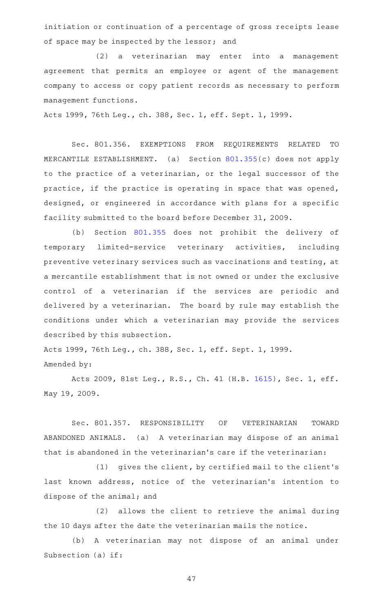initiation or continuation of a percentage of gross receipts lease of space may be inspected by the lessor; and

(2) a veterinarian may enter into a management agreement that permits an employee or agent of the management company to access or copy patient records as necessary to perform management functions.

Acts 1999, 76th Leg., ch. 388, Sec. 1, eff. Sept. 1, 1999.

Sec. 801.356. EXEMPTIONS FROM REQUIREMENTS RELATED TO MERCANTILE ESTABLISHMENT. (a) Section [801.355\(](http://www.statutes.legis.state.tx.us/GetStatute.aspx?Code=OC&Value=801.355)c) does not apply to the practice of a veterinarian, or the legal successor of the practice, if the practice is operating in space that was opened, designed, or engineered in accordance with plans for a specific facility submitted to the board before December 31, 2009.

(b) Section [801.355](http://www.statutes.legis.state.tx.us/GetStatute.aspx?Code=OC&Value=801.355) does not prohibit the delivery of temporary limited-service veterinary activities, including preventive veterinary services such as vaccinations and testing, at a mercantile establishment that is not owned or under the exclusive control of a veterinarian if the services are periodic and delivered by a veterinarian. The board by rule may establish the conditions under which a veterinarian may provide the services described by this subsection.

Acts 1999, 76th Leg., ch. 388, Sec. 1, eff. Sept. 1, 1999. Amended by:

Acts 2009, 81st Leg., R.S., Ch. 41 (H.B. [1615](http://www.legis.state.tx.us/tlodocs/81R/billtext/html/HB01615F.HTM)), Sec. 1, eff. May 19, 2009.

Sec. 801.357. RESPONSIBILITY OF VETERINARIAN TOWARD ABANDONED ANIMALS. (a) A veterinarian may dispose of an animal that is abandoned in the veterinarian 's care if the veterinarian:

(1) gives the client, by certified mail to the client's last known address, notice of the veterinarian's intention to dispose of the animal; and

(2) allows the client to retrieve the animal during the 10 days after the date the veterinarian mails the notice.

(b) A veterinarian may not dispose of an animal under Subsection (a) if: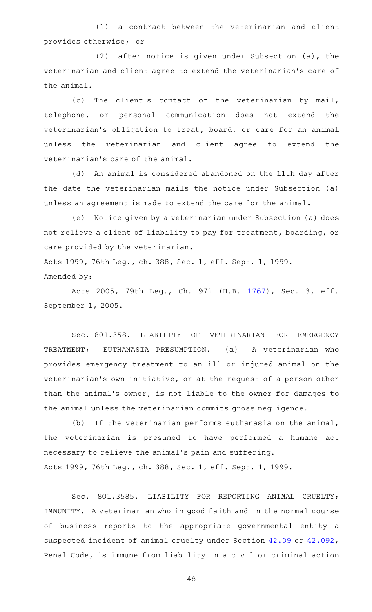(1) a contract between the veterinarian and client provides otherwise; or

 $(2)$  after notice is given under Subsection  $(a)$ , the veterinarian and client agree to extend the veterinarian 's care of the animal.

(c) The client's contact of the veterinarian by mail, telephone, or personal communication does not extend the veterinarian's obligation to treat, board, or care for an animal unless the veterinarian and client agree to extend the veterinarian 's care of the animal.

(d) An animal is considered abandoned on the 11th day after the date the veterinarian mails the notice under Subsection (a) unless an agreement is made to extend the care for the animal.

(e) Notice given by a veterinarian under Subsection (a) does not relieve a client of liability to pay for treatment, boarding, or care provided by the veterinarian.

Acts 1999, 76th Leg., ch. 388, Sec. 1, eff. Sept. 1, 1999. Amended by:

Acts 2005, 79th Leg., Ch. 971 (H.B. [1767](http://www.legis.state.tx.us/tlodocs/79R/billtext/html/HB01767F.HTM)), Sec. 3, eff. September 1, 2005.

Sec. 801.358. LIABILITY OF VETERINARIAN FOR EMERGENCY TREATMENT; EUTHANASIA PRESUMPTION. (a) A veterinarian who provides emergency treatment to an ill or injured animal on the veterinarian's own initiative, or at the request of a person other than the animal 's owner, is not liable to the owner for damages to the animal unless the veterinarian commits gross negligence.

(b) If the veterinarian performs euthanasia on the animal, the veterinarian is presumed to have performed a humane act necessary to relieve the animal 's pain and suffering. Acts 1999, 76th Leg., ch. 388, Sec. 1, eff. Sept. 1, 1999.

Sec. 801.3585. LIABILITY FOR REPORTING ANIMAL CRUELTY; IMMUNITY. A veterinarian who in good faith and in the normal course of business reports to the appropriate governmental entity a suspected incident of animal cruelty under Section [42.09](http://www.statutes.legis.state.tx.us/GetStatute.aspx?Code=PE&Value=42.09) or [42.092](http://www.statutes.legis.state.tx.us/GetStatute.aspx?Code=PE&Value=42.092), Penal Code, is immune from liability in a civil or criminal action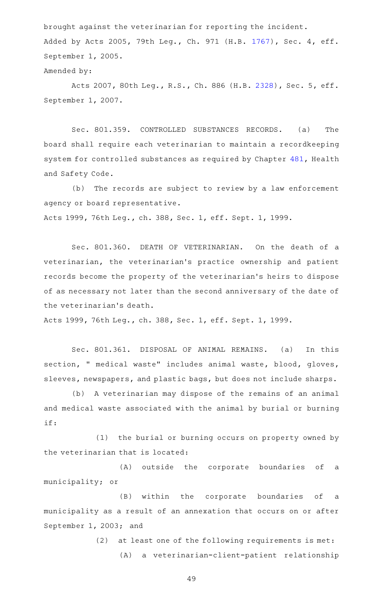brought against the veterinarian for reporting the incident. Added by Acts 2005, 79th Leg., Ch. 971 (H.B. [1767](http://www.legis.state.tx.us/tlodocs/79R/billtext/html/HB01767F.HTM)), Sec. 4, eff. September 1, 2005.

# Amended by:

Acts 2007, 80th Leg., R.S., Ch. 886 (H.B. [2328](http://www.legis.state.tx.us/tlodocs/80R/billtext/html/HB02328F.HTM)), Sec. 5, eff. September 1, 2007.

Sec. 801.359. CONTROLLED SUBSTANCES RECORDS. (a) The board shall require each veterinarian to maintain a recordkeeping system for controlled substances as required by Chapter [481,](http://www.statutes.legis.state.tx.us/GetStatute.aspx?Code=HS&Value=481) Health and Safety Code.

(b) The records are subject to review by a law enforcement agency or board representative. Acts 1999, 76th Leg., ch. 388, Sec. 1, eff. Sept. 1, 1999.

Sec. 801.360. DEATH OF VETERINARIAN. On the death of a veterinarian, the veterinarian 's practice ownership and patient records become the property of the veterinarian 's heirs to dispose of as necessary not later than the second anniversary of the date of the veterinarian 's death.

Acts 1999, 76th Leg., ch. 388, Sec. 1, eff. Sept. 1, 1999.

Sec. 801.361. DISPOSAL OF ANIMAL REMAINS. (a) In this section, " medical waste" includes animal waste, blood, gloves, sleeves, newspapers, and plastic bags, but does not include sharps.

(b) A veterinarian may dispose of the remains of an animal and medical waste associated with the animal by burial or burning if:

(1) the burial or burning occurs on property owned by the veterinarian that is located:

(A) outside the corporate boundaries of a municipality; or

(B) within the corporate boundaries of a municipality as a result of an annexation that occurs on or after September 1, 2003; and

> $(2)$  at least one of the following requirements is met: (A) a veterinarian-client-patient relationship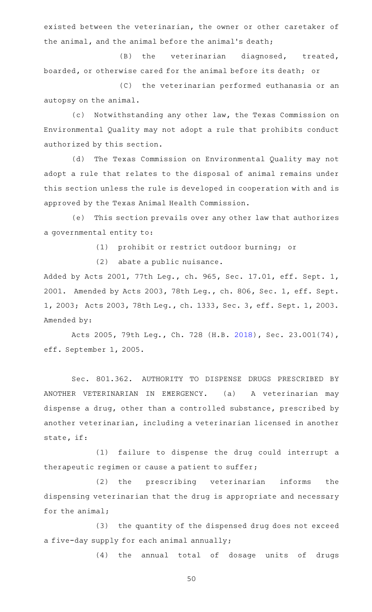existed between the veterinarian, the owner or other caretaker of the animal, and the animal before the animal 's death;

(B) the veterinarian diagnosed, treated, boarded, or otherwise cared for the animal before its death; or

(C) the veterinarian performed euthanasia or an autopsy on the animal.

(c) Notwithstanding any other law, the Texas Commission on Environmental Quality may not adopt a rule that prohibits conduct authorized by this section.

(d) The Texas Commission on Environmental Quality may not adopt a rule that relates to the disposal of animal remains under this section unless the rule is developed in cooperation with and is approved by the Texas Animal Health Commission.

(e) This section prevails over any other law that authorizes a governmental entity to:

(1) prohibit or restrict outdoor burning; or

(2) abate a public nuisance.

Added by Acts 2001, 77th Leg., ch. 965, Sec. 17.01, eff. Sept. 1, 2001. Amended by Acts 2003, 78th Leg., ch. 806, Sec. 1, eff. Sept. 1, 2003; Acts 2003, 78th Leg., ch. 1333, Sec. 3, eff. Sept. 1, 2003. Amended by:

Acts 2005, 79th Leg., Ch. 728 (H.B. [2018\)](http://www.legis.state.tx.us/tlodocs/79R/billtext/html/HB02018F.HTM), Sec. 23.001(74), eff. September 1, 2005.

Sec. 801.362. AUTHORITY TO DISPENSE DRUGS PRESCRIBED BY ANOTHER VETERINARIAN IN EMERGENCY. (a) A veterinarian may dispense a drug, other than a controlled substance, prescribed by another veterinarian, including a veterinarian licensed in another state, if:

(1) failure to dispense the drug could interrupt a therapeutic regimen or cause a patient to suffer;

(2) the prescribing veterinarian informs the dispensing veterinarian that the drug is appropriate and necessary for the animal;

(3) the quantity of the dispensed drug does not exceed a five-day supply for each animal annually;

(4) the annual total of dosage units of drugs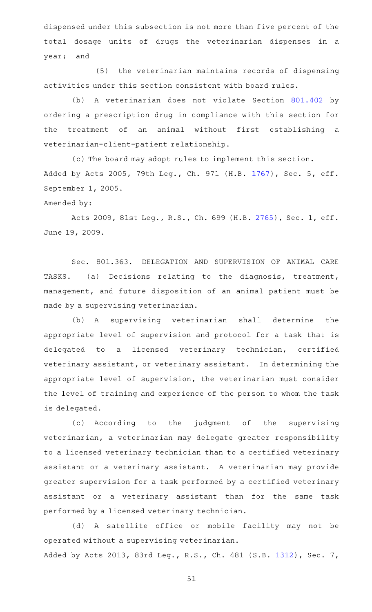dispensed under this subsection is not more than five percent of the total dosage units of drugs the veterinarian dispenses in a year; and

(5) the veterinarian maintains records of dispensing activities under this section consistent with board rules.

(b) A veterinarian does not violate Section [801.402](http://www.statutes.legis.state.tx.us/GetStatute.aspx?Code=OC&Value=801.402) by ordering a prescription drug in compliance with this section for the treatment of an animal without first establishing a veterinarian-client-patient relationship.

(c) The board may adopt rules to implement this section. Added by Acts 2005, 79th Leg., Ch. 971 (H.B. [1767](http://www.legis.state.tx.us/tlodocs/79R/billtext/html/HB01767F.HTM)), Sec. 5, eff. September 1, 2005.

### Amended by:

Acts 2009, 81st Leg., R.S., Ch. 699 (H.B. [2765](http://www.legis.state.tx.us/tlodocs/81R/billtext/html/HB02765F.HTM)), Sec. 1, eff. June 19, 2009.

Sec. 801.363. DELEGATION AND SUPERVISION OF ANIMAL CARE TASKS. (a) Decisions relating to the diagnosis, treatment, management, and future disposition of an animal patient must be made by a supervising veterinarian.

(b) A supervising veterinarian shall determine the appropriate level of supervision and protocol for a task that is delegated to a licensed veterinary technician, certified veterinary assistant, or veterinary assistant. In determining the appropriate level of supervision, the veterinarian must consider the level of training and experience of the person to whom the task is delegated.

(c) According to the judgment of the supervising veterinarian, a veterinarian may delegate greater responsibility to a licensed veterinary technician than to a certified veterinary assistant or a veterinary assistant. A veterinarian may provide greater supervision for a task performed by a certified veterinary assistant or a veterinary assistant than for the same task performed by a licensed veterinary technician.

(d) A satellite office or mobile facility may not be operated without a supervising veterinarian. Added by Acts 2013, 83rd Leg., R.S., Ch. 481 (S.B. [1312](http://www.legis.state.tx.us/tlodocs/83R/billtext/html/SB01312F.HTM)), Sec. 7,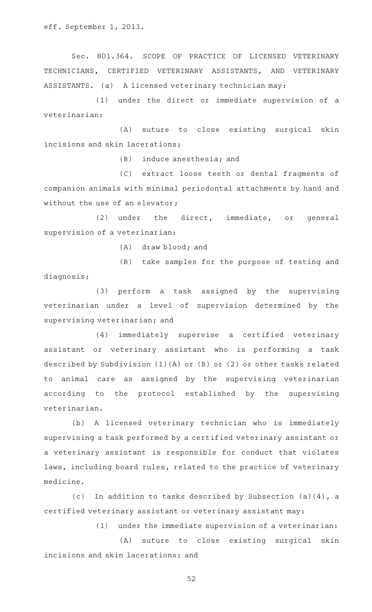eff. September 1, 2013.

Sec. 801.364. SCOPE OF PRACTICE OF LICENSED VETERINARY TECHNICIANS, CERTIFIED VETERINARY ASSISTANTS, AND VETERINARY ASSISTANTS. (a) A licensed veterinary technician may:

(1) under the direct or immediate supervision of a veterinarian:

(A) suture to close existing surgical skin incisions and skin lacerations;

 $(B)$  induce anesthesia; and

(C) extract loose teeth or dental fragments of companion animals with minimal periodontal attachments by hand and without the use of an elevator;

(2) under the direct, immediate, or general supervision of a veterinarian:

 $(A)$  draw blood; and

(B) take samples for the purpose of testing and diagnosis;

(3) perform a task assigned by the supervising veterinarian under a level of supervision determined by the supervising veterinarian; and

(4) immediately supervise a certified veterinary assistant or veterinary assistant who is performing a task described by Subdivision (1)(A) or (B) or (2) or other tasks related to animal care as assigned by the supervising veterinarian according to the protocol established by the supervising veterinarian.

(b) A licensed veterinary technician who is immediately supervising a task performed by a certified veterinary assistant or a veterinary assistant is responsible for conduct that violates laws, including board rules, related to the practice of veterinary medicine.

(c) In addition to tasks described by Subsection (a)(4), a certified veterinary assistant or veterinary assistant may:

 $(1)$  under the immediate supervision of a veterinarian:

(A) suture to close existing surgical skin incisions and skin lacerations; and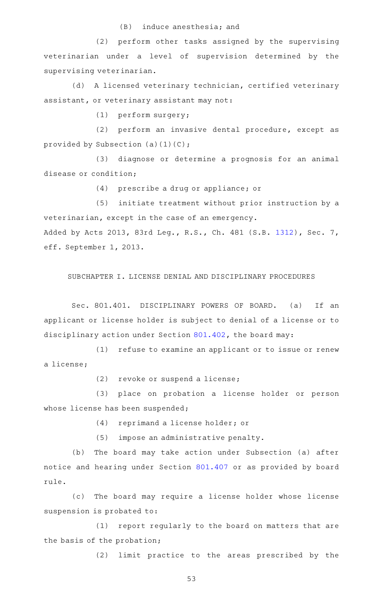#### $(B)$  induce anesthesia; and

(2) perform other tasks assigned by the supervising veterinarian under a level of supervision determined by the supervising veterinarian.

(d) A licensed veterinary technician, certified veterinary assistant, or veterinary assistant may not:

 $(1)$  perform surgery;

(2) perform an invasive dental procedure, except as provided by Subsection  $(a)(1)(C)$ ;

(3) diagnose or determine a prognosis for an animal disease or condition;

(4) prescribe a drug or appliance; or

(5) initiate treatment without prior instruction by a veterinarian, except in the case of an emergency. Added by Acts 2013, 83rd Leg., R.S., Ch. 481 (S.B. [1312](http://www.legis.state.tx.us/tlodocs/83R/billtext/html/SB01312F.HTM)), Sec. 7, eff. September 1, 2013.

SUBCHAPTER I. LICENSE DENIAL AND DISCIPLINARY PROCEDURES

Sec. 801.401. DISCIPLINARY POWERS OF BOARD. (a) If an applicant or license holder is subject to denial of a license or to disciplinary action under Section [801.402](http://www.statutes.legis.state.tx.us/GetStatute.aspx?Code=OC&Value=801.402), the board may:

(1) refuse to examine an applicant or to issue or renew a license;

 $(2)$  revoke or suspend a license;

(3) place on probation a license holder or person whose license has been suspended;

(4) reprimand a license holder; or

 $(5)$  impose an administrative penalty.

(b) The board may take action under Subsection (a) after notice and hearing under Section [801.407](http://www.statutes.legis.state.tx.us/GetStatute.aspx?Code=OC&Value=801.407) or as provided by board rule.

(c) The board may require a license holder whose license suspension is probated to:

(1) report regularly to the board on matters that are the basis of the probation;

(2) limit practice to the areas prescribed by the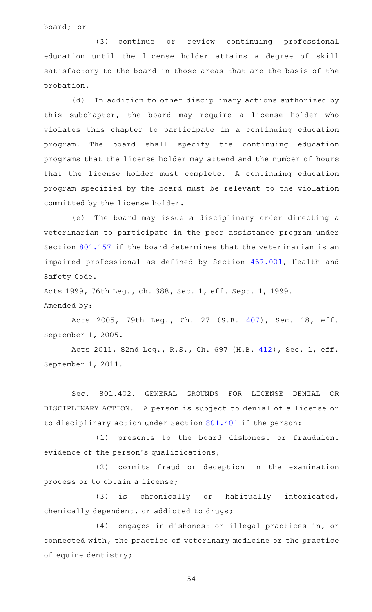board; or

(3) continue or review continuing professional education until the license holder attains a degree of skill satisfactory to the board in those areas that are the basis of the probation.

(d) In addition to other disciplinary actions authorized by this subchapter, the board may require a license holder who violates this chapter to participate in a continuing education program. The board shall specify the continuing education programs that the license holder may attend and the number of hours that the license holder must complete. A continuing education program specified by the board must be relevant to the violation committed by the license holder.

(e) The board may issue a disciplinary order directing a veterinarian to participate in the peer assistance program under Section [801.157](http://www.statutes.legis.state.tx.us/GetStatute.aspx?Code=OC&Value=801.157) if the board determines that the veterinarian is an impaired professional as defined by Section [467.001,](http://www.statutes.legis.state.tx.us/GetStatute.aspx?Code=HS&Value=467.001) Health and Safety Code.

Acts 1999, 76th Leg., ch. 388, Sec. 1, eff. Sept. 1, 1999. Amended by:

Acts 2005, 79th Leg., Ch. 27 (S.B. [407](http://www.legis.state.tx.us/tlodocs/79R/billtext/html/SB00407F.HTM)), Sec. 18, eff. September 1, 2005.

Acts 2011, 82nd Leg., R.S., Ch. 697 (H.B. [412](http://www.legis.state.tx.us/tlodocs/82R/billtext/html/HB00412F.HTM)), Sec. 1, eff. September 1, 2011.

Sec. 801.402. GENERAL GROUNDS FOR LICENSE DENIAL OR DISCIPLINARY ACTION. A person is subject to denial of a license or to disciplinary action under Section [801.401](http://www.statutes.legis.state.tx.us/GetStatute.aspx?Code=OC&Value=801.401) if the person:

(1) presents to the board dishonest or fraudulent evidence of the person's qualifications;

(2) commits fraud or deception in the examination process or to obtain a license;

(3) is chronically or habitually intoxicated, chemically dependent, or addicted to drugs;

(4) engages in dishonest or illegal practices in, or connected with, the practice of veterinary medicine or the practice of equine dentistry;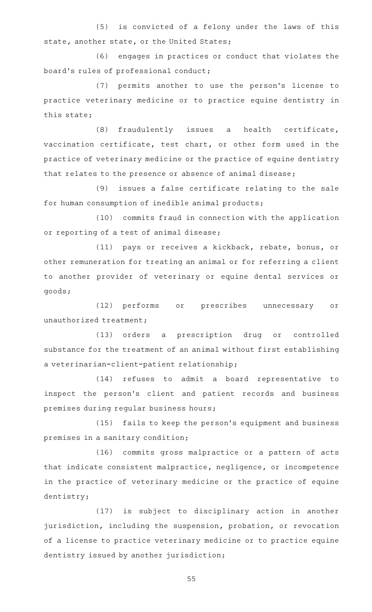(5) is convicted of a felony under the laws of this state, another state, or the United States;

(6) engages in practices or conduct that violates the board's rules of professional conduct;

(7) permits another to use the person's license to practice veterinary medicine or to practice equine dentistry in this state;

 $(8)$  fraudulently issues a health certificate, vaccination certificate, test chart, or other form used in the practice of veterinary medicine or the practice of equine dentistry that relates to the presence or absence of animal disease;

(9) issues a false certificate relating to the sale for human consumption of inedible animal products;

(10) commits fraud in connection with the application or reporting of a test of animal disease;

(11) pays or receives a kickback, rebate, bonus, or other remuneration for treating an animal or for referring a client to another provider of veterinary or equine dental services or goods;

(12) performs or prescribes unnecessary or unauthorized treatment;

(13) orders a prescription drug or controlled substance for the treatment of an animal without first establishing a veterinarian-client-patient relationship;

(14) refuses to admit a board representative to inspect the person's client and patient records and business premises during regular business hours;

(15) fails to keep the person's equipment and business premises in a sanitary condition;

(16) commits gross malpractice or a pattern of acts that indicate consistent malpractice, negligence, or incompetence in the practice of veterinary medicine or the practice of equine dentistry;

(17) is subject to disciplinary action in another jurisdiction, including the suspension, probation, or revocation of a license to practice veterinary medicine or to practice equine dentistry issued by another jurisdiction;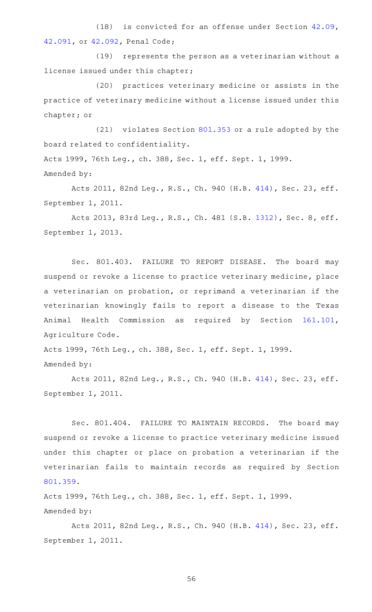(18) is convicted for an offense under Section  $42.09$ , [42.091](http://www.statutes.legis.state.tx.us/GetStatute.aspx?Code=PE&Value=42.091), or [42.092](http://www.statutes.legis.state.tx.us/GetStatute.aspx?Code=PE&Value=42.092), Penal Code;

(19) represents the person as a veterinarian without a license issued under this chapter;

(20) practices veterinary medicine or assists in the practice of veterinary medicine without a license issued under this chapter; or

 $(21)$  violates Section [801.353](http://www.statutes.legis.state.tx.us/GetStatute.aspx?Code=OC&Value=801.353) or a rule adopted by the board related to confidentiality.

Acts 1999, 76th Leg., ch. 388, Sec. 1, eff. Sept. 1, 1999. Amended by:

Acts 2011, 82nd Leg., R.S., Ch. 940 (H.B. [414\)](http://www.legis.state.tx.us/tlodocs/82R/billtext/html/HB00414F.HTM), Sec. 23, eff. September 1, 2011.

Acts 2013, 83rd Leg., R.S., Ch. 481 (S.B. [1312](http://www.legis.state.tx.us/tlodocs/83R/billtext/html/SB01312F.HTM)), Sec. 8, eff. September 1, 2013.

Sec. 801.403. FAILURE TO REPORT DISEASE. The board may suspend or revoke a license to practice veterinary medicine, place a veterinarian on probation, or reprimand a veterinarian if the veterinarian knowingly fails to report a disease to the Texas Animal Health Commission as required by Section [161.101](http://www.statutes.legis.state.tx.us/GetStatute.aspx?Code=AG&Value=161.101), Agriculture Code.

Acts 1999, 76th Leg., ch. 388, Sec. 1, eff. Sept. 1, 1999. Amended by:

Acts 2011, 82nd Leg., R.S., Ch. 940 (H.B. [414\)](http://www.legis.state.tx.us/tlodocs/82R/billtext/html/HB00414F.HTM), Sec. 23, eff. September 1, 2011.

Sec. 801.404. FAILURE TO MAINTAIN RECORDS. The board may suspend or revoke a license to practice veterinary medicine issued under this chapter or place on probation a veterinarian if the veterinarian fails to maintain records as required by Section [801.359.](http://www.statutes.legis.state.tx.us/GetStatute.aspx?Code=OC&Value=801.359)

Acts 1999, 76th Leg., ch. 388, Sec. 1, eff. Sept. 1, 1999. Amended by:

Acts 2011, 82nd Leg., R.S., Ch. 940 (H.B. [414\)](http://www.legis.state.tx.us/tlodocs/82R/billtext/html/HB00414F.HTM), Sec. 23, eff. September 1, 2011.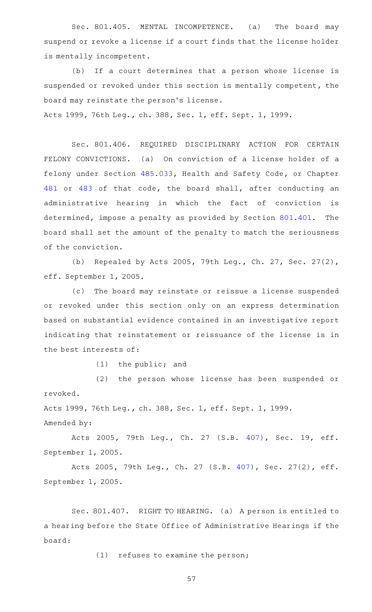Sec. 801.405. MENTAL INCOMPETENCE. (a) The board may suspend or revoke a license if a court finds that the license holder is mentally incompetent.

(b) If a court determines that a person whose license is suspended or revoked under this section is mentally competent, the board may reinstate the person 's license.

Acts 1999, 76th Leg., ch. 388, Sec. 1, eff. Sept. 1, 1999.

Sec. 801.406. REQUIRED DISCIPLINARY ACTION FOR CERTAIN FELONY CONVICTIONS. (a) On conviction of a license holder of a felony under Section [485.033](http://www.statutes.legis.state.tx.us/GetStatute.aspx?Code=HS&Value=485.033), Health and Safety Code, or Chapter [481](http://www.statutes.legis.state.tx.us/GetStatute.aspx?Code=HS&Value=481) or [483](http://www.statutes.legis.state.tx.us/GetStatute.aspx?Code=HS&Value=483) of that code, the board shall, after conducting an administrative hearing in which the fact of conviction is determined, impose a penalty as provided by Section [801.401.](http://www.statutes.legis.state.tx.us/GetStatute.aspx?Code=OC&Value=801.401) The board shall set the amount of the penalty to match the seriousness of the conviction.

(b) Repealed by Acts 2005, 79th Leg., Ch. 27, Sec. 27(2), eff. September 1, 2005.

(c) The board may reinstate or reissue a license suspended or revoked under this section only on an express determination based on substantial evidence contained in an investigative report indicating that reinstatement or reissuance of the license is in the best interests of:

 $(1)$  the public; and

(2) the person whose license has been suspended or revoked.

Acts 1999, 76th Leg., ch. 388, Sec. 1, eff. Sept. 1, 1999.

Amended by:

Acts 2005, 79th Leg., Ch. 27 (S.B. [407](http://www.legis.state.tx.us/tlodocs/79R/billtext/html/SB00407F.HTM)), Sec. 19, eff. September 1, 2005.

Acts 2005, 79th Leg., Ch. 27 (S.B. [407\)](http://www.legis.state.tx.us/tlodocs/79R/billtext/html/SB00407F.HTM), Sec. 27(2), eff. September 1, 2005.

Sec. 801.407. RIGHT TO HEARING. (a) A person is entitled to a hearing before the State Office of Administrative Hearings if the board:

 $(1)$  refuses to examine the person;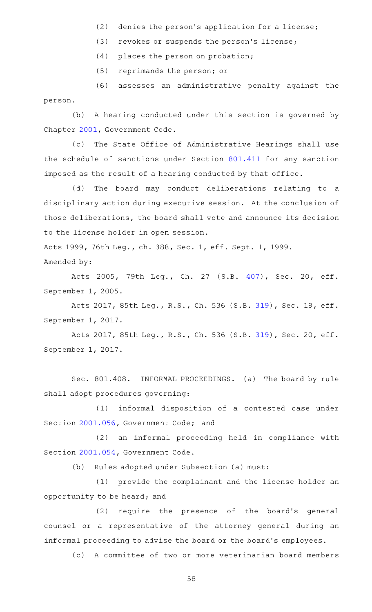- $(2)$  denies the person's application for a license;
- (3) revokes or suspends the person's license;
- (4) places the person on probation;

(5) reprimands the person; or

(6) assesses an administrative penalty against the person.

(b) A hearing conducted under this section is governed by Chapter [2001](http://www.statutes.legis.state.tx.us/GetStatute.aspx?Code=GV&Value=2001), Government Code.

(c) The State Office of Administrative Hearings shall use the schedule of sanctions under Section [801.411](http://www.statutes.legis.state.tx.us/GetStatute.aspx?Code=OC&Value=801.411) for any sanction imposed as the result of a hearing conducted by that office.

(d) The board may conduct deliberations relating to a disciplinary action during executive session. At the conclusion of those deliberations, the board shall vote and announce its decision to the license holder in open session.

Acts 1999, 76th Leg., ch. 388, Sec. 1, eff. Sept. 1, 1999. Amended by:

Acts 2005, 79th Leg., Ch. 27 (S.B. [407](http://www.legis.state.tx.us/tlodocs/79R/billtext/html/SB00407F.HTM)), Sec. 20, eff. September 1, 2005.

Acts 2017, 85th Leg., R.S., Ch. 536 (S.B. [319\)](http://www.legis.state.tx.us/tlodocs/85R/billtext/html/SB00319F.HTM), Sec. 19, eff. September 1, 2017.

Acts 2017, 85th Leg., R.S., Ch. 536 (S.B. [319\)](http://www.legis.state.tx.us/tlodocs/85R/billtext/html/SB00319F.HTM), Sec. 20, eff. September 1, 2017.

Sec. 801.408. INFORMAL PROCEEDINGS. (a) The board by rule shall adopt procedures governing:

(1) informal disposition of a contested case under Section [2001.056](http://www.statutes.legis.state.tx.us/GetStatute.aspx?Code=GV&Value=2001.056), Government Code; and

(2) an informal proceeding held in compliance with Section [2001.054](http://www.statutes.legis.state.tx.us/GetStatute.aspx?Code=GV&Value=2001.054), Government Code.

(b) Rules adopted under Subsection (a) must:

(1) provide the complainant and the license holder an opportunity to be heard; and

(2) require the presence of the board's general counsel or a representative of the attorney general during an informal proceeding to advise the board or the board 's employees.

(c) A committee of two or more veterinarian board members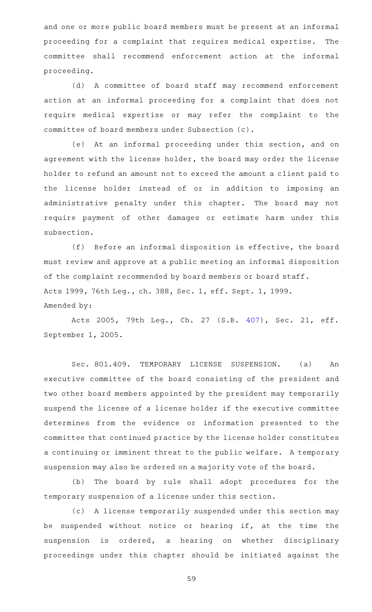and one or more public board members must be present at an informal proceeding for a complaint that requires medical expertise. The committee shall recommend enforcement action at the informal proceeding.

(d) A committee of board staff may recommend enforcement action at an informal proceeding for a complaint that does not require medical expertise or may refer the complaint to the committee of board members under Subsection (c).

(e) At an informal proceeding under this section, and on agreement with the license holder, the board may order the license holder to refund an amount not to exceed the amount a client paid to the license holder instead of or in addition to imposing an administrative penalty under this chapter. The board may not require payment of other damages or estimate harm under this subsection.

 $(f)$  Before an informal disposition is effective, the board must review and approve at a public meeting an informal disposition of the complaint recommended by board members or board staff. Acts 1999, 76th Leg., ch. 388, Sec. 1, eff. Sept. 1, 1999. Amended by:

Acts 2005, 79th Leg., Ch. 27 (S.B. [407](http://www.legis.state.tx.us/tlodocs/79R/billtext/html/SB00407F.HTM)), Sec. 21, eff. September 1, 2005.

Sec. 801.409. TEMPORARY LICENSE SUSPENSION. (a) An executive committee of the board consisting of the president and two other board members appointed by the president may temporarily suspend the license of a license holder if the executive committee determines from the evidence or information presented to the committee that continued practice by the license holder constitutes a continuing or imminent threat to the public welfare. A temporary suspension may also be ordered on a majority vote of the board.

(b) The board by rule shall adopt procedures for the temporary suspension of a license under this section.

(c) A license temporarily suspended under this section may be suspended without notice or hearing if, at the time the suspension is ordered, a hearing on whether disciplinary proceedings under this chapter should be initiated against the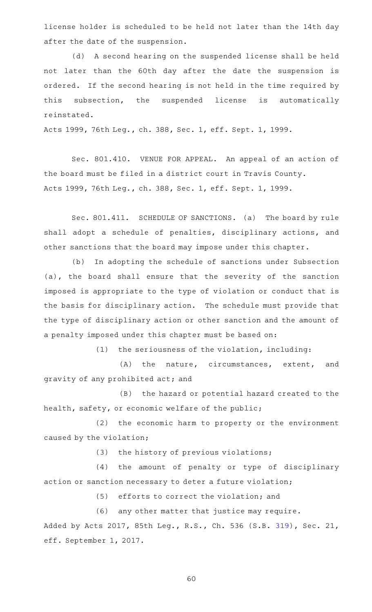license holder is scheduled to be held not later than the 14th day after the date of the suspension.

(d) A second hearing on the suspended license shall be held not later than the 60th day after the date the suspension is ordered. If the second hearing is not held in the time required by this subsection, the suspended license is automatically reinstated.

Acts 1999, 76th Leg., ch. 388, Sec. 1, eff. Sept. 1, 1999.

Sec. 801.410. VENUE FOR APPEAL. An appeal of an action of the board must be filed in a district court in Travis County. Acts 1999, 76th Leg., ch. 388, Sec. 1, eff. Sept. 1, 1999.

Sec. 801.411. SCHEDULE OF SANCTIONS. (a) The board by rule shall adopt a schedule of penalties, disciplinary actions, and other sanctions that the board may impose under this chapter.

(b) In adopting the schedule of sanctions under Subsection (a), the board shall ensure that the severity of the sanction imposed is appropriate to the type of violation or conduct that is the basis for disciplinary action. The schedule must provide that the type of disciplinary action or other sanction and the amount of a penalty imposed under this chapter must be based on:

 $(1)$  the seriousness of the violation, including:

 $(A)$  the nature, circumstances, extent, and gravity of any prohibited act; and

(B) the hazard or potential hazard created to the health, safety, or economic welfare of the public;

(2) the economic harm to property or the environment caused by the violation;

 $(3)$  the history of previous violations;

(4) the amount of penalty or type of disciplinary action or sanction necessary to deter a future violation;

(5) efforts to correct the violation; and

(6) any other matter that justice may require.

Added by Acts 2017, 85th Leg., R.S., Ch. 536 (S.B. [319\)](http://www.legis.state.tx.us/tlodocs/85R/billtext/html/SB00319F.HTM), Sec. 21, eff. September 1, 2017.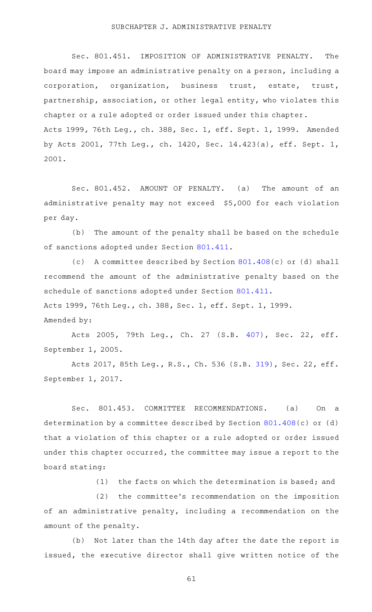#### SUBCHAPTER J. ADMINISTRATIVE PENALTY

Sec. 801.451. IMPOSITION OF ADMINISTRATIVE PENALTY. The board may impose an administrative penalty on a person, including a corporation, organization, business trust, estate, trust, partnership, association, or other legal entity, who violates this chapter or a rule adopted or order issued under this chapter. Acts 1999, 76th Leg., ch. 388, Sec. 1, eff. Sept. 1, 1999. Amended by Acts 2001, 77th Leg., ch. 1420, Sec. 14.423(a), eff. Sept. 1, 2001.

Sec. 801.452. AMOUNT OF PENALTY. (a) The amount of an administrative penalty may not exceed \$5,000 for each violation per day.

(b) The amount of the penalty shall be based on the schedule of sanctions adopted under Section [801.411](http://www.statutes.legis.state.tx.us/GetStatute.aspx?Code=OC&Value=801.411).

(c) A committee described by Section  $801.408(c)$  $801.408(c)$  or (d) shall recommend the amount of the administrative penalty based on the schedule of sanctions adopted under Section [801.411.](http://www.statutes.legis.state.tx.us/GetStatute.aspx?Code=OC&Value=801.411) Acts 1999, 76th Leg., ch. 388, Sec. 1, eff. Sept. 1, 1999.

Amended by:

Acts 2005, 79th Leg., Ch. 27 (S.B. [407](http://www.legis.state.tx.us/tlodocs/79R/billtext/html/SB00407F.HTM)), Sec. 22, eff. September 1, 2005.

Acts 2017, 85th Leg., R.S., Ch. 536 (S.B. [319\)](http://www.legis.state.tx.us/tlodocs/85R/billtext/html/SB00319F.HTM), Sec. 22, eff. September 1, 2017.

Sec. 801.453. COMMITTEE RECOMMENDATIONS. (a) On a determination by a committee described by Section [801.408\(](http://www.statutes.legis.state.tx.us/GetStatute.aspx?Code=OC&Value=801.408)c) or (d) that a violation of this chapter or a rule adopted or order issued under this chapter occurred, the committee may issue a report to the board stating:

 $(1)$  the facts on which the determination is based; and

(2) the committee's recommendation on the imposition of an administrative penalty, including a recommendation on the amount of the penalty.

(b) Not later than the 14th day after the date the report is issued, the executive director shall give written notice of the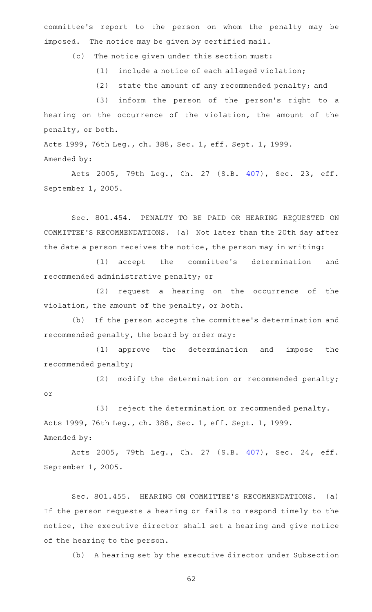committee 's report to the person on whom the penalty may be imposed. The notice may be given by certified mail.

(c) The notice given under this section must:

 $(1)$  include a notice of each alleged violation;

(2) state the amount of any recommended penalty; and

 $(3)$  inform the person of the person's right to a hearing on the occurrence of the violation, the amount of the penalty, or both.

Acts 1999, 76th Leg., ch. 388, Sec. 1, eff. Sept. 1, 1999. Amended by:

Acts 2005, 79th Leg., Ch. 27 (S.B. [407](http://www.legis.state.tx.us/tlodocs/79R/billtext/html/SB00407F.HTM)), Sec. 23, eff. September 1, 2005.

Sec. 801.454. PENALTY TO BE PAID OR HEARING REQUESTED ON COMMITTEE 'S RECOMMENDATIONS. (a) Not later than the 20th day after the date a person receives the notice, the person may in writing:

(1) accept the committee's determination and recommended administrative penalty; or

(2) request a hearing on the occurrence of the violation, the amount of the penalty, or both.

(b) If the person accepts the committee's determination and recommended penalty, the board by order may:

(1) approve the determination and impose the recommended penalty;

(2) modify the determination or recommended penalty; or

(3) reject the determination or recommended penalty. Acts 1999, 76th Leg., ch. 388, Sec. 1, eff. Sept. 1, 1999. Amended by:

Acts 2005, 79th Leg., Ch. 27 (S.B. [407](http://www.legis.state.tx.us/tlodocs/79R/billtext/html/SB00407F.HTM)), Sec. 24, eff. September 1, 2005.

Sec. 801.455. HEARING ON COMMITTEE'S RECOMMENDATIONS. (a) If the person requests a hearing or fails to respond timely to the notice, the executive director shall set a hearing and give notice of the hearing to the person.

(b) A hearing set by the executive director under Subsection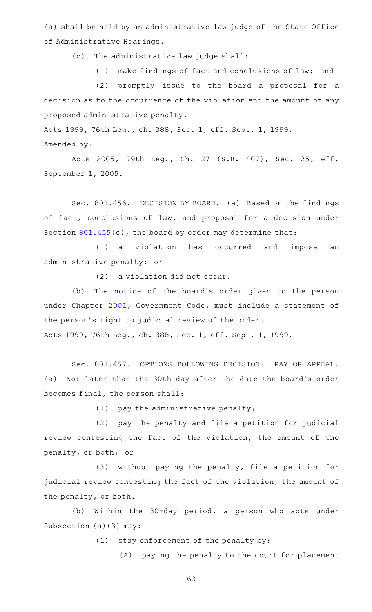(a) shall be held by an administrative law judge of the State Office of Administrative Hearings.

(c) The administrative law judge shall:

(1) make findings of fact and conclusions of law; and

(2) promptly issue to the board a proposal for a decision as to the occurrence of the violation and the amount of any proposed administrative penalty.

Acts 1999, 76th Leg., ch. 388, Sec. 1, eff. Sept. 1, 1999. Amended by:

Acts 2005, 79th Leg., Ch. 27 (S.B. [407](http://www.legis.state.tx.us/tlodocs/79R/billtext/html/SB00407F.HTM)), Sec. 25, eff. September 1, 2005.

Sec. 801.456. DECISION BY BOARD. (a) Based on the findings of fact, conclusions of law, and proposal for a decision under Section [801.455\(](http://www.statutes.legis.state.tx.us/GetStatute.aspx?Code=OC&Value=801.455)c), the board by order may determine that:

(1) a violation has occurred and impose an administrative penalty; or

 $(2)$  a violation did not occur.

(b) The notice of the board's order given to the person under Chapter [2001,](http://www.statutes.legis.state.tx.us/GetStatute.aspx?Code=GV&Value=2001) Government Code, must include a statement of the person's right to judicial review of the order. Acts 1999, 76th Leg., ch. 388, Sec. 1, eff. Sept. 1, 1999.

Sec. 801.457. OPTIONS FOLLOWING DECISION: PAY OR APPEAL. (a) Not later than the 30th day after the date the board's order becomes final, the person shall:

 $(1)$  pay the administrative penalty;

(2) pay the penalty and file a petition for judicial review contesting the fact of the violation, the amount of the penalty, or both; or

(3) without paying the penalty, file a petition for judicial review contesting the fact of the violation, the amount of the penalty, or both.

(b) Within the 30-day period, a person who acts under Subsection (a)(3) may:

 $(1)$  stay enforcement of the penalty by:

(A) paying the penalty to the court for placement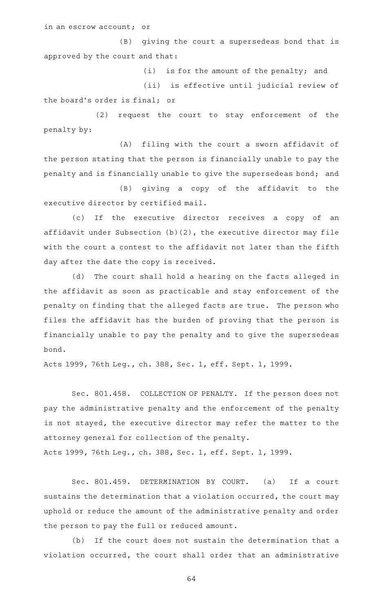in an escrow account; or

(B) giving the court a supersedeas bond that is approved by the court and that:

 $(i)$  is for the amount of the penalty; and

(ii) is effective until judicial review of the board's order is final; or

(2) request the court to stay enforcement of the penalty by:

(A) filing with the court a sworn affidavit of the person stating that the person is financially unable to pay the penalty and is financially unable to give the supersedeas bond; and

(B) giving a copy of the affidavit to the executive director by certified mail.

(c) If the executive director receives a copy of an affidavit under Subsection (b)(2), the executive director may file with the court a contest to the affidavit not later than the fifth day after the date the copy is received.

(d) The court shall hold a hearing on the facts alleged in the affidavit as soon as practicable and stay enforcement of the penalty on finding that the alleged facts are true. The person who files the affidavit has the burden of proving that the person is financially unable to pay the penalty and to give the supersedeas bond.

Acts 1999, 76th Leg., ch. 388, Sec. 1, eff. Sept. 1, 1999.

Sec. 801.458. COLLECTION OF PENALTY. If the person does not pay the administrative penalty and the enforcement of the penalty is not stayed, the executive director may refer the matter to the attorney general for collection of the penalty.

Acts 1999, 76th Leg., ch. 388, Sec. 1, eff. Sept. 1, 1999.

Sec. 801.459. DETERMINATION BY COURT. (a) If a court sustains the determination that a violation occurred, the court may uphold or reduce the amount of the administrative penalty and order the person to pay the full or reduced amount.

(b) If the court does not sustain the determination that a violation occurred, the court shall order that an administrative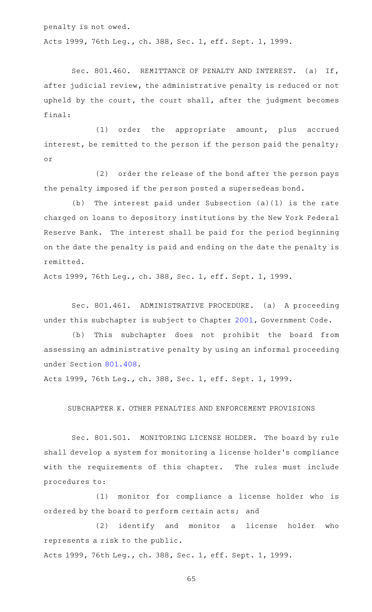penalty is not owed. Acts 1999, 76th Leg., ch. 388, Sec. 1, eff. Sept. 1, 1999.

Sec. 801.460. REMITTANCE OF PENALTY AND INTEREST. (a) If, after judicial review, the administrative penalty is reduced or not upheld by the court, the court shall, after the judgment becomes final:

(1) order the appropriate amount, plus accrued interest, be remitted to the person if the person paid the penalty; or

(2) order the release of the bond after the person pays the penalty imposed if the person posted a supersedeas bond.

(b) The interest paid under Subsection  $(a)(1)$  is the rate charged on loans to depository institutions by the New York Federal Reserve Bank. The interest shall be paid for the period beginning on the date the penalty is paid and ending on the date the penalty is remitted.

Acts 1999, 76th Leg., ch. 388, Sec. 1, eff. Sept. 1, 1999.

Sec. 801.461. ADMINISTRATIVE PROCEDURE. (a) A proceeding under this subchapter is subject to Chapter [2001,](http://www.statutes.legis.state.tx.us/GetStatute.aspx?Code=GV&Value=2001) Government Code.

(b) This subchapter does not prohibit the board from assessing an administrative penalty by using an informal proceeding under Section [801.408](http://www.statutes.legis.state.tx.us/GetStatute.aspx?Code=OC&Value=801.408).

Acts 1999, 76th Leg., ch. 388, Sec. 1, eff. Sept. 1, 1999.

SUBCHAPTER K. OTHER PENALTIES AND ENFORCEMENT PROVISIONS

Sec. 801.501. MONITORING LICENSE HOLDER. The board by rule shall develop a system for monitoring a license holder 's compliance with the requirements of this chapter. The rules must include procedures to:

(1) monitor for compliance a license holder who is ordered by the board to perform certain acts; and

(2) identify and monitor a license holder who represents a risk to the public.

Acts 1999, 76th Leg., ch. 388, Sec. 1, eff. Sept. 1, 1999.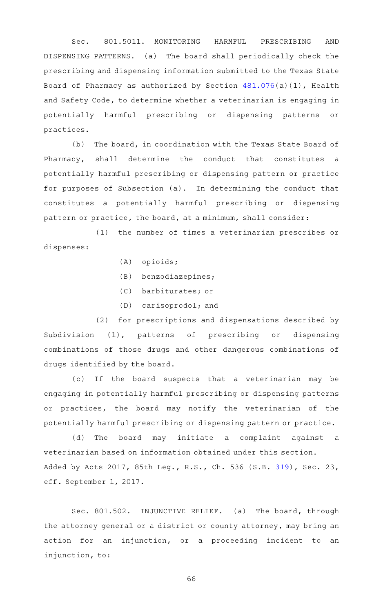Sec. 801.5011. MONITORING HARMFUL PRESCRIBING AND DISPENSING PATTERNS. (a) The board shall periodically check the prescribing and dispensing information submitted to the Texas State Board of Pharmacy as authorized by Section [481.076\(](http://www.statutes.legis.state.tx.us/GetStatute.aspx?Code=HS&Value=481.076)a)(1), Health and Safety Code, to determine whether a veterinarian is engaging in potentially harmful prescribing or dispensing patterns or practices.

(b) The board, in coordination with the Texas State Board of Pharmacy, shall determine the conduct that constitutes a potentially harmful prescribing or dispensing pattern or practice for purposes of Subsection (a). In determining the conduct that constitutes a potentially harmful prescribing or dispensing pattern or practice, the board, at a minimum, shall consider:

(1) the number of times a veterinarian prescribes or dispenses:

- $(A)$  opioids;
- $(B)$  benzodiazepines;
- (C) barbiturates; or
- $(D)$  carisoprodol; and

(2) for prescriptions and dispensations described by Subdivision (1), patterns of prescribing or dispensing combinations of those drugs and other dangerous combinations of drugs identified by the board.

(c) If the board suspects that a veterinarian may be engaging in potentially harmful prescribing or dispensing patterns or practices, the board may notify the veterinarian of the potentially harmful prescribing or dispensing pattern or practice.

(d) The board may initiate a complaint against a veterinarian based on information obtained under this section. Added by Acts 2017, 85th Leg., R.S., Ch. 536 (S.B. [319\)](http://www.legis.state.tx.us/tlodocs/85R/billtext/html/SB00319F.HTM), Sec. 23, eff. September 1, 2017.

Sec. 801.502. INJUNCTIVE RELIEF. (a) The board, through the attorney general or a district or county attorney, may bring an action for an injunction, or a proceeding incident to an injunction, to: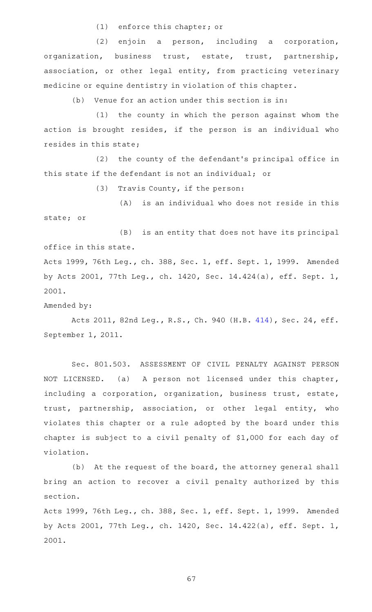$(1)$  enforce this chapter; or

(2) enjoin a person, including a corporation, organization, business trust, estate, trust, partnership, association, or other legal entity, from practicing veterinary medicine or equine dentistry in violation of this chapter.

 $(b)$  Venue for an action under this section is in:

 $(1)$  the county in which the person against whom the action is brought resides, if the person is an individual who resides in this state;

(2) the county of the defendant's principal office in this state if the defendant is not an individual; or

 $(3)$  Travis County, if the person:

 $(A)$  is an individual who does not reside in this state; or

 $(B)$  is an entity that does not have its principal office in this state.

Acts 1999, 76th Leg., ch. 388, Sec. 1, eff. Sept. 1, 1999. Amended by Acts 2001, 77th Leg., ch. 1420, Sec. 14.424(a), eff. Sept. 1, 2001.

Amended by:

Acts 2011, 82nd Leg., R.S., Ch. 940 (H.B. [414\)](http://www.legis.state.tx.us/tlodocs/82R/billtext/html/HB00414F.HTM), Sec. 24, eff. September 1, 2011.

Sec. 801.503. ASSESSMENT OF CIVIL PENALTY AGAINST PERSON NOT LICENSED. (a) A person not licensed under this chapter, including a corporation, organization, business trust, estate, trust, partnership, association, or other legal entity, who violates this chapter or a rule adopted by the board under this chapter is subject to a civil penalty of \$1,000 for each day of violation.

 $(b)$  At the request of the board, the attorney general shall bring an action to recover a civil penalty authorized by this section.

Acts 1999, 76th Leg., ch. 388, Sec. 1, eff. Sept. 1, 1999. Amended by Acts 2001, 77th Leg., ch. 1420, Sec. 14.422(a), eff. Sept. 1, 2001.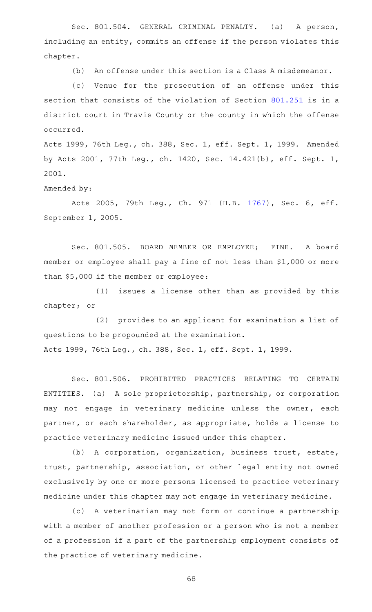Sec. 801.504. GENERAL CRIMINAL PENALTY. (a) A person, including an entity, commits an offense if the person violates this chapter.

(b) An offense under this section is a Class A misdemeanor.

(c) Venue for the prosecution of an offense under this section that consists of the violation of Section [801.251](http://www.statutes.legis.state.tx.us/GetStatute.aspx?Code=OC&Value=801.251) is in a district court in Travis County or the county in which the offense occurred.

Acts 1999, 76th Leg., ch. 388, Sec. 1, eff. Sept. 1, 1999. Amended by Acts 2001, 77th Leg., ch. 1420, Sec. 14.421(b), eff. Sept. 1, 2001.

Amended by:

Acts 2005, 79th Leg., Ch. 971 (H.B. [1767](http://www.legis.state.tx.us/tlodocs/79R/billtext/html/HB01767F.HTM)), Sec. 6, eff. September 1, 2005.

Sec. 801.505. BOARD MEMBER OR EMPLOYEE; FINE. A board member or employee shall pay a fine of not less than \$1,000 or more than \$5,000 if the member or employee:

 $(1)$  issues a license other than as provided by this chapter; or

(2) provides to an applicant for examination a list of questions to be propounded at the examination. Acts 1999, 76th Leg., ch. 388, Sec. 1, eff. Sept. 1, 1999.

Sec. 801.506. PROHIBITED PRACTICES RELATING TO CERTAIN ENTITIES. (a) A sole proprietorship, partnership, or corporation may not engage in veterinary medicine unless the owner, each partner, or each shareholder, as appropriate, holds a license to practice veterinary medicine issued under this chapter.

(b) A corporation, organization, business trust, estate, trust, partnership, association, or other legal entity not owned exclusively by one or more persons licensed to practice veterinary medicine under this chapter may not engage in veterinary medicine.

(c)AAA veterinarian may not form or continue a partnership with a member of another profession or a person who is not a member of a profession if a part of the partnership employment consists of the practice of veterinary medicine.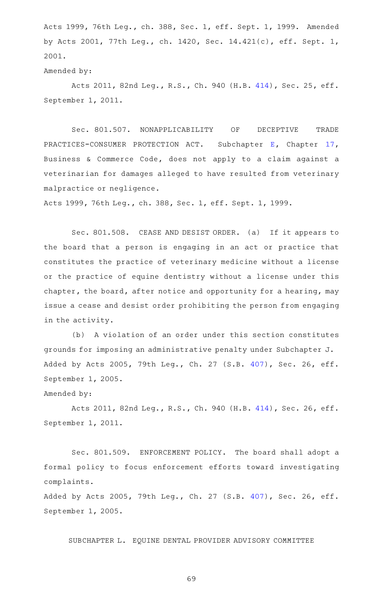Acts 1999, 76th Leg., ch. 388, Sec. 1, eff. Sept. 1, 1999. Amended by Acts 2001, 77th Leg., ch. 1420, Sec. 14.421(c), eff. Sept. 1, 2001.

#### Amended by:

Acts 2011, 82nd Leg., R.S., Ch. 940 (H.B. [414\)](http://www.legis.state.tx.us/tlodocs/82R/billtext/html/HB00414F.HTM), Sec. 25, eff. September 1, 2011.

Sec. 801.507. NONAPPLICABILITY OF DECEPTIVE TRADE PRACTICES-CONSUMER PROTECTION ACT. Subchapter [E,](http://www.statutes.legis.state.tx.us/GetStatute.aspx?Code=BC&Value=17.41) Chapter [17](http://www.statutes.legis.state.tx.us/GetStatute.aspx?Code=BC&Value=17), Business & Commerce Code, does not apply to a claim against a veterinarian for damages alleged to have resulted from veterinary malpractice or negligence.

Acts 1999, 76th Leg., ch. 388, Sec. 1, eff. Sept. 1, 1999.

Sec. 801.508. CEASE AND DESIST ORDER. (a) If it appears to the board that a person is engaging in an act or practice that constitutes the practice of veterinary medicine without a license or the practice of equine dentistry without a license under this chapter, the board, after notice and opportunity for a hearing, may issue a cease and desist order prohibiting the person from engaging in the activity.

(b) A violation of an order under this section constitutes grounds for imposing an administrative penalty under Subchapter J. Added by Acts 2005, 79th Leg., Ch. 27 (S.B. [407\)](http://www.legis.state.tx.us/tlodocs/79R/billtext/html/SB00407F.HTM), Sec. 26, eff. September 1, 2005.

## Amended by:

Acts 2011, 82nd Leg., R.S., Ch. 940 (H.B. [414\)](http://www.legis.state.tx.us/tlodocs/82R/billtext/html/HB00414F.HTM), Sec. 26, eff. September 1, 2011.

Sec. 801.509. ENFORCEMENT POLICY. The board shall adopt a formal policy to focus enforcement efforts toward investigating complaints.

Added by Acts 2005, 79th Leg., Ch. 27 (S.B. [407\)](http://www.legis.state.tx.us/tlodocs/79R/billtext/html/SB00407F.HTM), Sec. 26, eff. September 1, 2005.

SUBCHAPTER L. EQUINE DENTAL PROVIDER ADVISORY COMMITTEE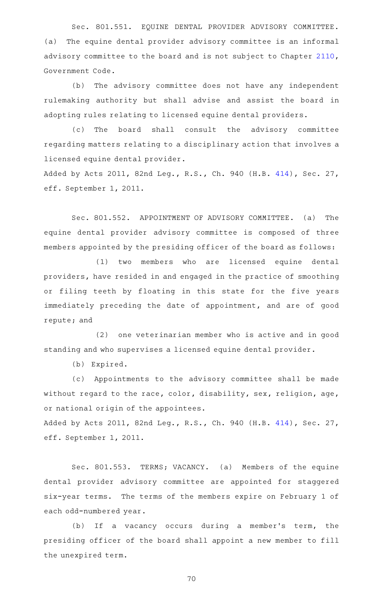Sec. 801.551. EQUINE DENTAL PROVIDER ADVISORY COMMITTEE. (a) The equine dental provider advisory committee is an informal advisory committee to the board and is not subject to Chapter [2110](http://www.statutes.legis.state.tx.us/GetStatute.aspx?Code=GV&Value=2110), Government Code.

(b) The advisory committee does not have any independent rulemaking authority but shall advise and assist the board in adopting rules relating to licensed equine dental providers.

(c) The board shall consult the advisory committee regarding matters relating to a disciplinary action that involves a licensed equine dental provider.

Added by Acts 2011, 82nd Leg., R.S., Ch. 940 (H.B. [414\)](http://www.legis.state.tx.us/tlodocs/82R/billtext/html/HB00414F.HTM), Sec. 27, eff. September 1, 2011.

Sec. 801.552. APPOINTMENT OF ADVISORY COMMITTEE. (a) The equine dental provider advisory committee is composed of three members appointed by the presiding officer of the board as follows:

(1) two members who are licensed equine dental providers, have resided in and engaged in the practice of smoothing or filing teeth by floating in this state for the five years immediately preceding the date of appointment, and are of good repute; and

 $(2)$  one veterinarian member who is active and in good standing and who supervises a licensed equine dental provider.

(b) Expired.

(c) Appointments to the advisory committee shall be made without regard to the race, color, disability, sex, religion, age, or national origin of the appointees.

Added by Acts 2011, 82nd Leg., R.S., Ch. 940 (H.B. [414\)](http://www.legis.state.tx.us/tlodocs/82R/billtext/html/HB00414F.HTM), Sec. 27, eff. September 1, 2011.

Sec. 801.553. TERMS; VACANCY. (a) Members of the equine dental provider advisory committee are appointed for staggered six-year terms. The terms of the members expire on February 1 of each odd-numbered year.

(b) If a vacancy occurs during a member's term, the presiding officer of the board shall appoint a new member to fill the unexpired term.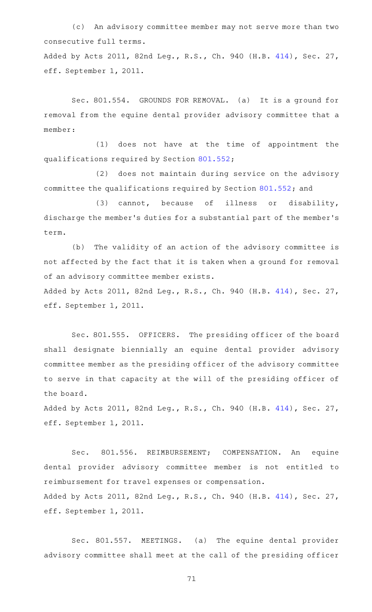(c) An advisory committee member may not serve more than two consecutive full terms.

Added by Acts 2011, 82nd Leg., R.S., Ch. 940 (H.B. [414\)](http://www.legis.state.tx.us/tlodocs/82R/billtext/html/HB00414F.HTM), Sec. 27, eff. September 1, 2011.

Sec. 801.554. GROUNDS FOR REMOVAL. (a) It is a ground for removal from the equine dental provider advisory committee that a member:

 $(1)$  does not have at the time of appointment the qualifications required by Section [801.552;](http://www.statutes.legis.state.tx.us/GetStatute.aspx?Code=OC&Value=801.552)

(2) does not maintain during service on the advisory committee the qualifications required by Section [801.552;](http://www.statutes.legis.state.tx.us/GetStatute.aspx?Code=OC&Value=801.552) and

(3) cannot, because of illness or disability, discharge the member 's duties for a substantial part of the member 's term.

(b) The validity of an action of the advisory committee is not affected by the fact that it is taken when a ground for removal of an advisory committee member exists.

Added by Acts 2011, 82nd Leg., R.S., Ch. 940 (H.B. [414\)](http://www.legis.state.tx.us/tlodocs/82R/billtext/html/HB00414F.HTM), Sec. 27, eff. September 1, 2011.

Sec. 801.555. OFFICERS. The presiding officer of the board shall designate biennially an equine dental provider advisory committee member as the presiding officer of the advisory committee to serve in that capacity at the will of the presiding officer of the board.

Added by Acts 2011, 82nd Leg., R.S., Ch. 940 (H.B. [414\)](http://www.legis.state.tx.us/tlodocs/82R/billtext/html/HB00414F.HTM), Sec. 27, eff. September 1, 2011.

Sec. 801.556. REIMBURSEMENT; COMPENSATION. An equine dental provider advisory committee member is not entitled to reimbursement for travel expenses or compensation. Added by Acts 2011, 82nd Leg., R.S., Ch. 940 (H.B. [414\)](http://www.legis.state.tx.us/tlodocs/82R/billtext/html/HB00414F.HTM), Sec. 27, eff. September 1, 2011.

Sec. 801.557. MEETINGS. (a) The equine dental provider advisory committee shall meet at the call of the presiding officer